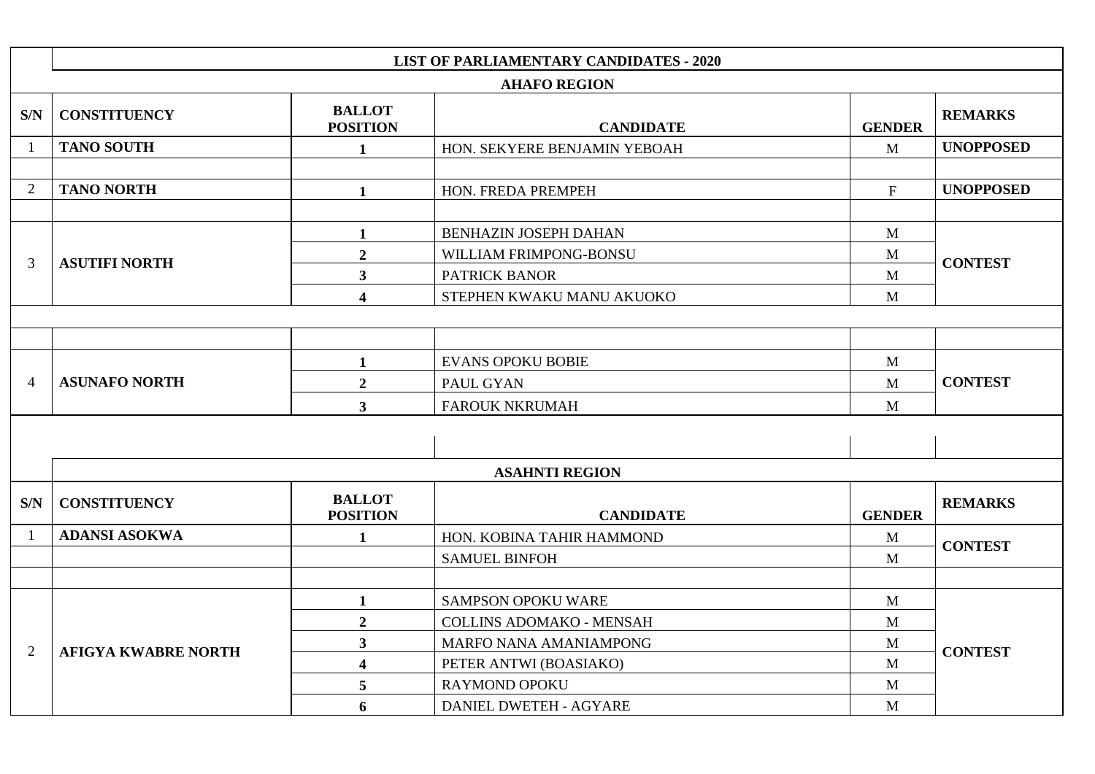|                | <b>LIST OF PARLIAMENTARY CANDIDATES - 2020</b> |                                  |                                 |                           |                  |  |
|----------------|------------------------------------------------|----------------------------------|---------------------------------|---------------------------|------------------|--|
|                |                                                |                                  | <b>AHAFO REGION</b>             |                           |                  |  |
| S/N            | <b>CONSTITUENCY</b>                            | <b>BALLOT</b><br><b>POSITION</b> | <b>CANDIDATE</b>                | <b>GENDER</b>             | <b>REMARKS</b>   |  |
|                | <b>TANO SOUTH</b>                              | $\mathbf{1}$                     | HON. SEKYERE BENJAMIN YEBOAH    | M                         | <b>UNOPPOSED</b> |  |
|                |                                                |                                  |                                 |                           |                  |  |
| $\overline{2}$ | <b>TANO NORTH</b>                              | $\mathbf{1}$                     | HON. FREDA PREMPEH              | $\boldsymbol{\mathrm{F}}$ | <b>UNOPPOSED</b> |  |
|                |                                                |                                  |                                 |                           |                  |  |
|                |                                                | $\mathbf{1}$                     | BENHAZIN JOSEPH DAHAN           | M                         |                  |  |
| 3              | <b>ASUTIFI NORTH</b>                           | $\overline{2}$                   | WILLIAM FRIMPONG-BONSU          | M                         | <b>CONTEST</b>   |  |
|                |                                                | $\overline{\mathbf{3}}$          | PATRICK BANOR                   | $\mathbf{M}$              |                  |  |
|                |                                                | $\overline{\mathbf{4}}$          | STEPHEN KWAKU MANU AKUOKO       | M                         |                  |  |
|                |                                                |                                  |                                 |                           |                  |  |
|                |                                                |                                  |                                 |                           |                  |  |
|                | <b>ASUNAFO NORTH</b>                           | $\mathbf{1}$                     | <b>EVANS OPOKU BOBIE</b>        | M                         |                  |  |
| $\overline{4}$ |                                                | $\overline{2}$                   | PAUL GYAN                       | $\mathbf{M}$              | <b>CONTEST</b>   |  |
|                |                                                | $3^{\circ}$                      | <b>FAROUK NKRUMAH</b>           | M                         |                  |  |
|                |                                                |                                  |                                 |                           |                  |  |
|                |                                                |                                  |                                 |                           |                  |  |
|                |                                                |                                  | <b>ASAHNTI REGION</b>           |                           |                  |  |
| S/N            | <b>CONSTITUENCY</b>                            | <b>BALLOT</b><br><b>POSITION</b> | <b>CANDIDATE</b>                | <b>GENDER</b>             | <b>REMARKS</b>   |  |
|                | <b>ADANSI ASOKWA</b>                           | $\mathbf{1}$                     | HON. KOBINA TAHIR HAMMOND       | $\mathbf{M}$              | <b>CONTEST</b>   |  |
|                |                                                |                                  | <b>SAMUEL BINFOH</b>            | M                         |                  |  |
|                |                                                |                                  |                                 |                           |                  |  |
|                |                                                | $\mathbf{1}$                     | <b>SAMPSON OPOKU WARE</b>       | M                         |                  |  |
|                |                                                | $\overline{2}$                   | <b>COLLINS ADOMAKO - MENSAH</b> | $\mathbf{M}$              |                  |  |
| $\overline{2}$ | <b>AFIGYA KWABRE NORTH</b>                     | $\mathbf{3}$                     | MARFO NANA AMANIAMPONG          | M                         | <b>CONTEST</b>   |  |
|                |                                                | $\overline{\mathbf{4}}$          | PETER ANTWI (BOASIAKO)          | M                         |                  |  |
|                |                                                | 5                                | <b>RAYMOND OPOKU</b>            | M                         |                  |  |
|                |                                                | 6                                | DANIEL DWETEH - AGYARE          | M                         |                  |  |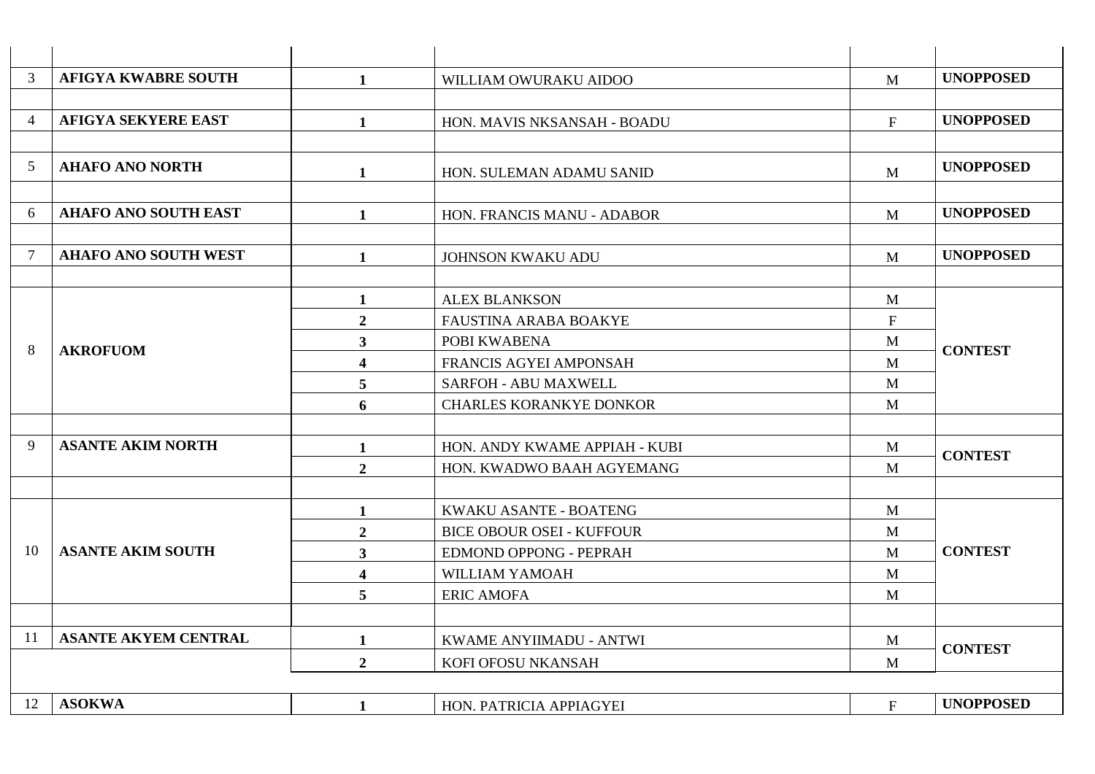| 3              | <b>AFIGYA KWABRE SOUTH</b>  | 1                       | WILLIAM OWURAKU AIDOO            | M                         | <b>UNOPPOSED</b> |
|----------------|-----------------------------|-------------------------|----------------------------------|---------------------------|------------------|
|                |                             |                         |                                  |                           |                  |
| $\overline{4}$ | <b>AFIGYA SEKYERE EAST</b>  | $\mathbf{1}$            | HON. MAVIS NKSANSAH - BOADU      | $\boldsymbol{\mathrm{F}}$ | <b>UNOPPOSED</b> |
|                |                             |                         |                                  |                           |                  |
| 5              | <b>AHAFO ANO NORTH</b>      | 1                       | HON. SULEMAN ADAMU SANID         | M                         | <b>UNOPPOSED</b> |
|                |                             |                         |                                  |                           |                  |
| 6              | <b>AHAFO ANO SOUTH EAST</b> | $\mathbf{1}$            | HON. FRANCIS MANU - ADABOR       | M                         | <b>UNOPPOSED</b> |
|                |                             |                         |                                  |                           |                  |
| 7              | <b>AHAFO ANO SOUTH WEST</b> | $\mathbf{1}$            | <b>JOHNSON KWAKU ADU</b>         | M                         | <b>UNOPPOSED</b> |
|                |                             |                         |                                  |                           |                  |
|                |                             | $\mathbf{1}$            | <b>ALEX BLANKSON</b>             | M                         |                  |
|                |                             | $\overline{2}$          | FAUSTINA ARABA BOAKYE            | ${\bf F}$                 |                  |
| 8              | <b>AKROFUOM</b>             | 3 <sup>1</sup>          | POBI KWABENA                     | M                         | <b>CONTEST</b>   |
|                |                             | $\overline{\mathbf{4}}$ | FRANCIS AGYEI AMPONSAH           | M                         |                  |
|                |                             | 5                       | <b>SARFOH - ABU MAXWELL</b>      | M                         |                  |
|                |                             | 6                       | <b>CHARLES KORANKYE DONKOR</b>   | M                         |                  |
|                |                             |                         |                                  |                           |                  |
| 9              | <b>ASANTE AKIM NORTH</b>    | $\mathbf{1}$            | HON. ANDY KWAME APPIAH - KUBI    | $\mathbf{M}$              | <b>CONTEST</b>   |
|                |                             | $\overline{2}$          | HON. KWADWO BAAH AGYEMANG        | M                         |                  |
|                |                             |                         |                                  |                           |                  |
|                |                             | 1                       | KWAKU ASANTE - BOATENG           | M                         |                  |
|                |                             | $\overline{2}$          | <b>BICE OBOUR OSEI - KUFFOUR</b> | M                         |                  |
| 10             | <b>ASANTE AKIM SOUTH</b>    | 3 <sup>1</sup>          | <b>EDMOND OPPONG - PEPRAH</b>    | M                         | <b>CONTEST</b>   |
|                |                             | $\overline{\mathbf{4}}$ | WILLIAM YAMOAH                   | M                         |                  |
|                |                             | 5                       | <b>ERIC AMOFA</b>                | M                         |                  |
|                |                             |                         |                                  |                           |                  |
| 11             | <b>ASANTE AKYEM CENTRAL</b> | $\mathbf{1}$            | KWAME ANYIIMADU - ANTWI          | M                         | <b>CONTEST</b>   |
|                |                             | $\overline{2}$          | KOFI OFOSU NKANSAH               | M                         |                  |
|                |                             |                         |                                  |                           |                  |
| 12             | <b>ASOKWA</b>               | 1                       | HON. PATRICIA APPIAGYEI          | $\mathbf{F}$              | <b>UNOPPOSED</b> |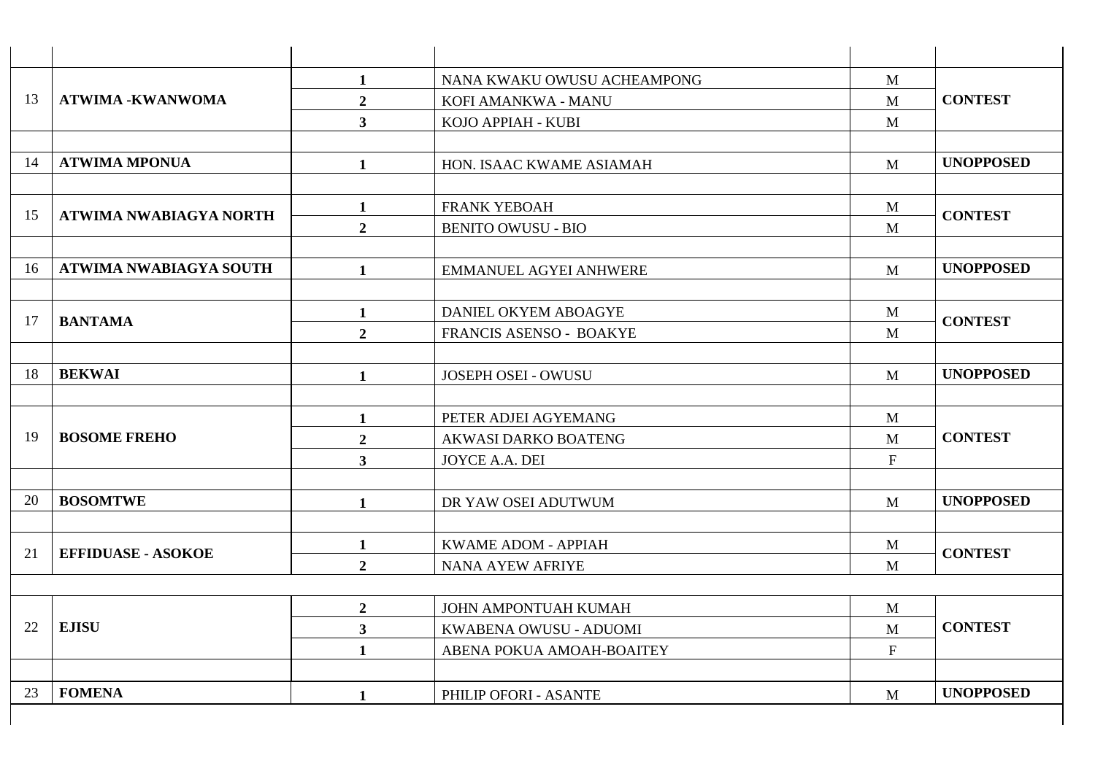|    | <b>ATWIMA -KWANWOMA</b>   | $\mathbf{1}$            | NANA KWAKU OWUSU ACHEAMPONG   | $\mathbf{M}$ |                  |
|----|---------------------------|-------------------------|-------------------------------|--------------|------------------|
| 13 |                           | $\boldsymbol{2}$        | KOFI AMANKWA - MANU           | M            | <b>CONTEST</b>   |
|    |                           | $\mathbf{3}$            | KOJO APPIAH - KUBI            | M            |                  |
|    |                           |                         |                               |              |                  |
| 14 | <b>ATWIMA MPONUA</b>      | $\mathbf{1}$            | HON. ISAAC KWAME ASIAMAH      | M            | <b>UNOPPOSED</b> |
|    |                           | $\mathbf{1}$            | <b>FRANK YEBOAH</b>           | M            |                  |
| 15 | ATWIMA NWABIAGYA NORTH    | $\overline{2}$          | <b>BENITO OWUSU - BIO</b>     | M            | <b>CONTEST</b>   |
| 16 | ATWIMA NWABIAGYA SOUTH    | $\mathbf{1}$            | <b>EMMANUEL AGYEI ANHWERE</b> | M            | <b>UNOPPOSED</b> |
|    |                           |                         |                               |              |                  |
| 17 | <b>BANTAMA</b>            | $\mathbf{1}$            | DANIEL OKYEM ABOAGYE          | M            | <b>CONTEST</b>   |
|    |                           | $\overline{2}$          | FRANCIS ASENSO - BOAKYE       | M            |                  |
| 18 | <b>BEKWAI</b>             | $\mathbf{1}$            | JOSEPH OSEI - OWUSU           | $\mathbf{M}$ | <b>UNOPPOSED</b> |
|    | <b>BOSOME FREHO</b>       | $\mathbf{1}$            | PETER ADJEI AGYEMANG          | M            |                  |
| 19 |                           | $\overline{2}$          | AKWASI DARKO BOATENG          | M            | <b>CONTEST</b>   |
|    |                           | $\overline{\mathbf{3}}$ | JOYCE A.A. DEI                | $\mathbf F$  |                  |
| 20 | <b>BOSOMTWE</b>           | 1                       | DR YAW OSEI ADUTWUM           | M            | <b>UNOPPOSED</b> |
| 21 | <b>EFFIDUASE - ASOKOE</b> | $\mathbf{1}$            | KWAME ADOM - APPIAH           | M            | <b>CONTEST</b>   |
|    |                           | $\overline{2}$          | NANA AYEW AFRIYE              | M            |                  |
|    |                           | $\overline{2}$          | JOHN AMPONTUAH KUMAH          | M            |                  |
| 22 | <b>EJISU</b>              | $\mathbf{3}$            | KWABENA OWUSU - ADUOMI        | M            | <b>CONTEST</b>   |
|    |                           | $\mathbf{1}$            | ABENA POKUA AMOAH-BOAITEY     | $\mathbf F$  |                  |
| 23 | <b>FOMENA</b>             | $\mathbf{1}$            | PHILIP OFORI - ASANTE         | M            | <b>UNOPPOSED</b> |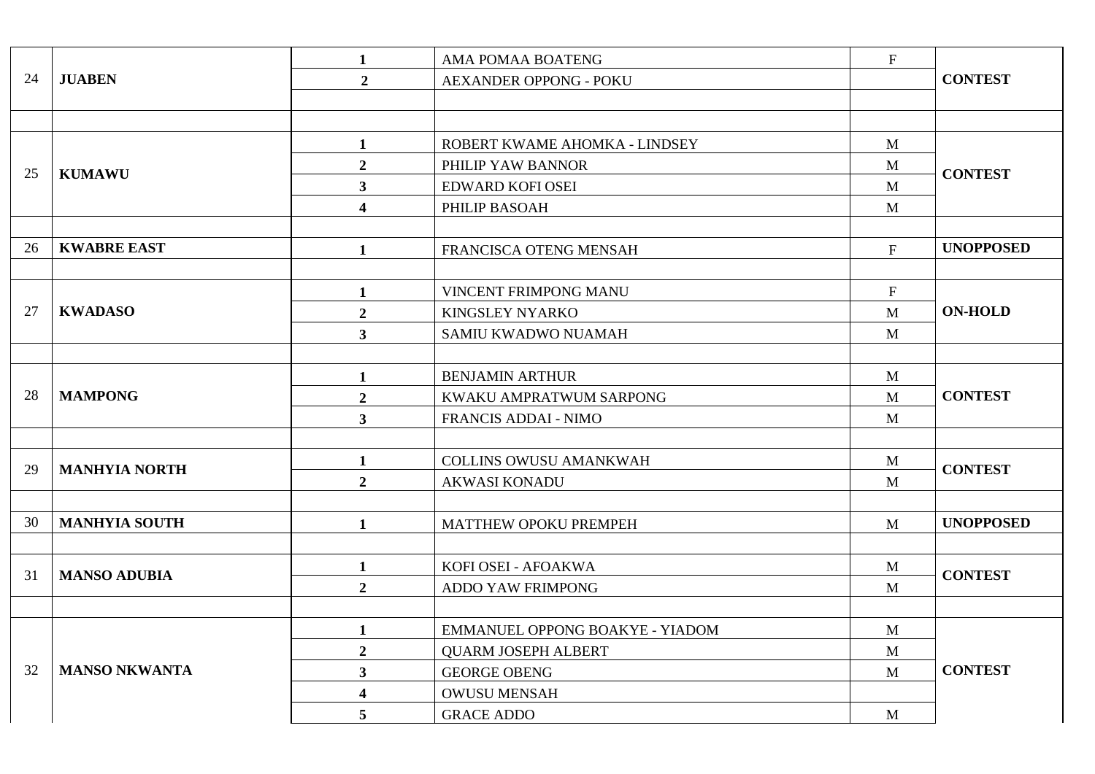|    |                      | $\mathbf{1}$            | AMA POMAA BOATENG               | $\boldsymbol{\mathrm{F}}$ |                  |
|----|----------------------|-------------------------|---------------------------------|---------------------------|------------------|
| 24 | <b>JUABEN</b>        | $\overline{2}$          | <b>AEXANDER OPPONG - POKU</b>   |                           | <b>CONTEST</b>   |
|    |                      |                         |                                 |                           |                  |
|    |                      |                         |                                 |                           |                  |
|    |                      | $\mathbf{1}$            | ROBERT KWAME AHOMKA - LINDSEY   | $\mathbf{M}$              |                  |
| 25 | <b>KUMAWU</b>        | $\overline{2}$          | PHILIP YAW BANNOR               | M                         | <b>CONTEST</b>   |
|    |                      | $\mathbf{3}$            | EDWARD KOFI OSEI                | $\mathbf{M}$              |                  |
|    |                      | $\overline{\mathbf{4}}$ | PHILIP BASOAH                   | $\mathbf{M}$              |                  |
|    |                      |                         |                                 |                           |                  |
| 26 | <b>KWABRE EAST</b>   | $\mathbf{1}$            | FRANCISCA OTENG MENSAH          | $\mathbf{F}$              | <b>UNOPPOSED</b> |
|    |                      |                         |                                 |                           |                  |
|    |                      | $\mathbf{1}$            | VINCENT FRIMPONG MANU           | $\mathbf F$               |                  |
| 27 | <b>KWADASO</b>       | $\overline{2}$          | <b>KINGSLEY NYARKO</b>          | M                         | <b>ON-HOLD</b>   |
|    |                      | $3^{\circ}$             | SAMIU KWADWO NUAMAH             | M                         |                  |
|    |                      |                         |                                 |                           |                  |
|    | <b>MAMPONG</b>       | $\mathbf{1}$            | <b>BENJAMIN ARTHUR</b>          | M                         |                  |
| 28 |                      | $\overline{2}$          | KWAKU AMPRATWUM SARPONG         | $\mathbf{M}$              | <b>CONTEST</b>   |
|    |                      | $\mathbf{3}$            | FRANCIS ADDAI - NIMO            | $\mathbf{M}$              |                  |
|    |                      |                         |                                 |                           |                  |
| 29 | <b>MANHYIA NORTH</b> | $\mathbf{1}$            | COLLINS OWUSU AMANKWAH          | M                         | <b>CONTEST</b>   |
|    |                      | $\overline{2}$          | <b>AKWASI KONADU</b>            | M                         |                  |
|    |                      |                         |                                 |                           |                  |
| 30 | <b>MANHYIA SOUTH</b> | $\mathbf{1}$            | MATTHEW OPOKU PREMPEH           | M                         | <b>UNOPPOSED</b> |
|    |                      |                         |                                 |                           |                  |
| 31 | <b>MANSO ADUBIA</b>  | $\mathbf{1}$            | KOFI OSEI - AFOAKWA             | M                         | <b>CONTEST</b>   |
|    |                      | $\overline{2}$          | ADDO YAW FRIMPONG               | M                         |                  |
|    |                      |                         |                                 |                           |                  |
|    |                      | $\mathbf{1}$            | EMMANUEL OPPONG BOAKYE - YIADOM | $\mathbf{M}$              |                  |
|    |                      | $\overline{2}$          | <b>QUARM JOSEPH ALBERT</b>      | $\mathbf{M}$              |                  |
| 32 | <b>MANSO NKWANTA</b> | $\mathbf{3}$            | <b>GEORGE OBENG</b>             | M                         | <b>CONTEST</b>   |
|    |                      | $\overline{\mathbf{4}}$ | <b>OWUSU MENSAH</b>             |                           |                  |
|    |                      | $\overline{5}$          | <b>GRACE ADDO</b>               | M                         |                  |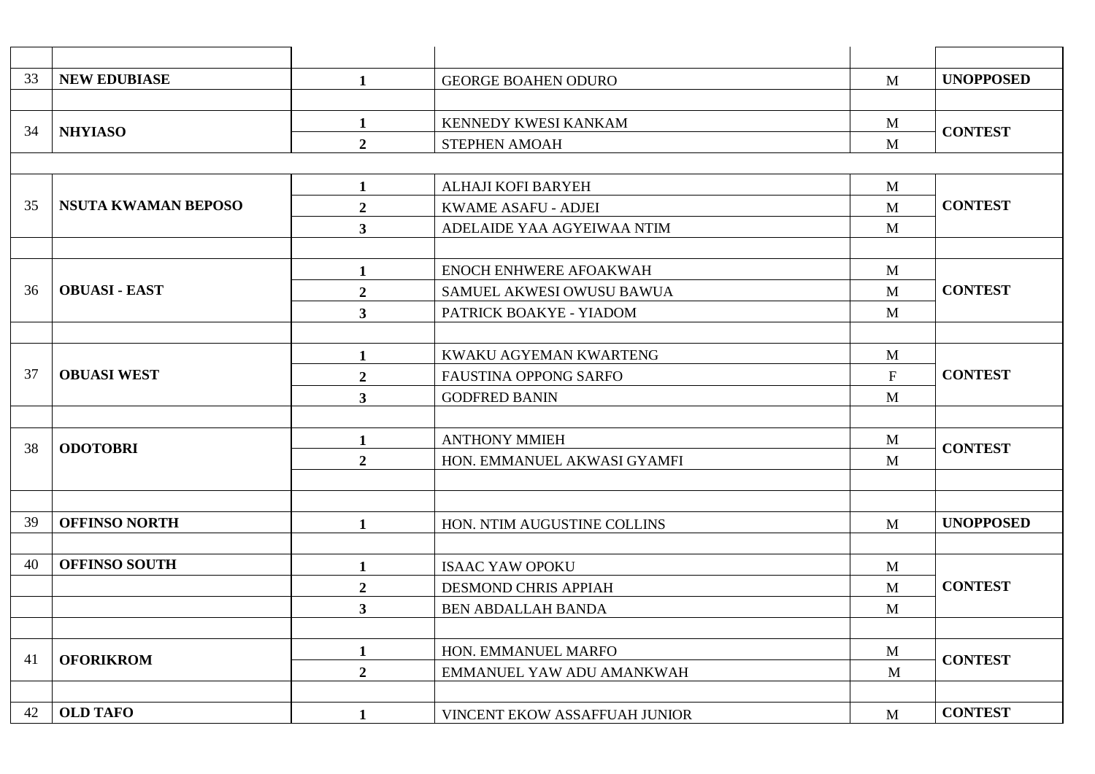| 33 | <b>NEW EDUBIASE</b>        | $\mathbf{1}$            | <b>GEORGE BOAHEN ODURO</b>    | M                         | <b>UNOPPOSED</b> |
|----|----------------------------|-------------------------|-------------------------------|---------------------------|------------------|
|    |                            |                         |                               |                           |                  |
| 34 | <b>NHYIASO</b>             | $\mathbf{1}$            | KENNEDY KWESI KANKAM          | $\mathbf{M}$              | <b>CONTEST</b>   |
|    |                            | $\overline{2}$          | <b>STEPHEN AMOAH</b>          | M                         |                  |
|    |                            |                         |                               |                           |                  |
|    |                            | $\mathbf{1}$            | ALHAJI KOFI BARYEH            | M                         |                  |
| 35 | <b>NSUTA KWAMAN BEPOSO</b> | $\overline{2}$          | <b>KWAME ASAFU - ADJEI</b>    | M                         | <b>CONTEST</b>   |
|    |                            | 3                       | ADELAIDE YAA AGYEIWAA NTIM    | M                         |                  |
|    |                            |                         |                               |                           |                  |
|    |                            | $\mathbf{1}$            | ENOCH ENHWERE AFOAKWAH        | $\mathbf{M}$              |                  |
| 36 | <b>OBUASI - EAST</b>       | $\overline{2}$          | SAMUEL AKWESI OWUSU BAWUA     | M                         | <b>CONTEST</b>   |
|    |                            | $\mathbf{3}$            | PATRICK BOAKYE - YIADOM       | M                         |                  |
|    |                            |                         |                               |                           |                  |
|    |                            | $\mathbf{1}$            | KWAKU AGYEMAN KWARTENG        | M                         |                  |
| 37 | <b>OBUASI WEST</b>         | $\boldsymbol{2}$        | <b>FAUSTINA OPPONG SARFO</b>  | $\boldsymbol{\mathrm{F}}$ | <b>CONTEST</b>   |
|    |                            | $\mathbf{3}$            | <b>GODFRED BANIN</b>          | M                         |                  |
|    |                            |                         |                               |                           |                  |
| 38 | <b>ODOTOBRI</b>            | $\mathbf{1}$            | <b>ANTHONY MMIEH</b>          | M                         | <b>CONTEST</b>   |
|    |                            | $\overline{2}$          | HON. EMMANUEL AKWASI GYAMFI   | M                         |                  |
|    |                            |                         |                               |                           |                  |
|    |                            |                         |                               |                           |                  |
| 39 | <b>OFFINSO NORTH</b>       | $\mathbf{1}$            | HON. NTIM AUGUSTINE COLLINS   | M                         | <b>UNOPPOSED</b> |
|    |                            |                         |                               |                           |                  |
| 40 | <b>OFFINSO SOUTH</b>       | $\mathbf{1}$            | <b>ISAAC YAW OPOKU</b>        | M                         |                  |
|    |                            | $\boldsymbol{2}$        | <b>DESMOND CHRIS APPIAH</b>   | M                         | <b>CONTEST</b>   |
|    |                            | $\overline{\mathbf{3}}$ | <b>BEN ABDALLAH BANDA</b>     | M                         |                  |
|    |                            |                         |                               |                           |                  |
| 41 | <b>OFORIKROM</b>           | $\mathbf{1}$            | HON. EMMANUEL MARFO           | $\mathbf{M}$              | <b>CONTEST</b>   |
|    |                            | $\overline{2}$          | EMMANUEL YAW ADU AMANKWAH     | M                         |                  |
|    |                            |                         |                               |                           |                  |
| 42 | <b>OLD TAFO</b>            | $\mathbf{1}$            | VINCENT EKOW ASSAFFUAH JUNIOR | M                         | <b>CONTEST</b>   |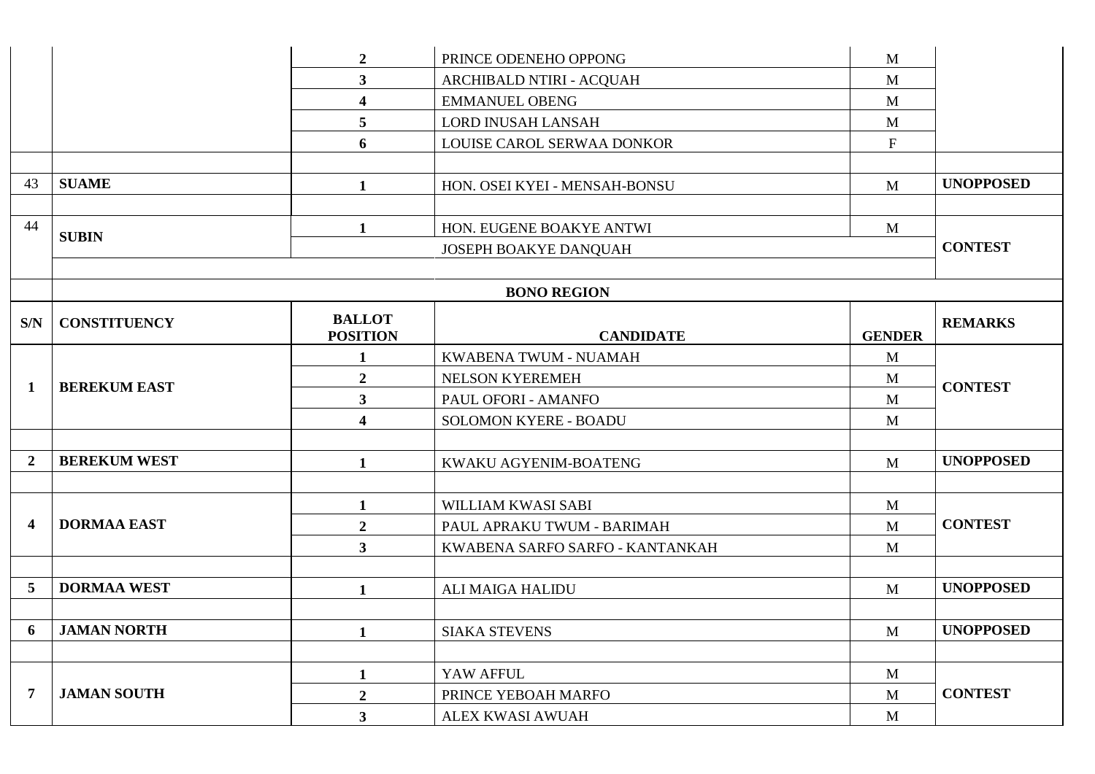|                         |                     | $\boldsymbol{2}$        | PRINCE ODENEHO OPPONG           | M             |                  |
|-------------------------|---------------------|-------------------------|---------------------------------|---------------|------------------|
|                         |                     | $\overline{\mathbf{3}}$ | ARCHIBALD NTIRI - ACQUAH        | M             |                  |
|                         |                     | $\overline{\mathbf{4}}$ | <b>EMMANUEL OBENG</b>           | M             |                  |
|                         |                     | 5                       | <b>LORD INUSAH LANSAH</b>       | M             |                  |
|                         |                     | 6                       | LOUISE CAROL SERWAA DONKOR      | $\mathbf F$   |                  |
|                         |                     |                         |                                 |               |                  |
| 43                      | <b>SUAME</b>        | 1                       | HON. OSEI KYEI - MENSAH-BONSU   | M             | <b>UNOPPOSED</b> |
|                         |                     |                         |                                 |               |                  |
| 44                      | <b>SUBIN</b>        | 1                       | HON. EUGENE BOAKYE ANTWI        | $\mathbf{M}$  |                  |
|                         |                     |                         | JOSEPH BOAKYE DANQUAH           |               | <b>CONTEST</b>   |
|                         |                     |                         |                                 |               |                  |
|                         |                     |                         | <b>BONO REGION</b>              |               |                  |
| S/N                     | <b>CONSTITUENCY</b> | <b>BALLOT</b>           |                                 |               | <b>REMARKS</b>   |
|                         |                     | <b>POSITION</b>         | <b>CANDIDATE</b>                | <b>GENDER</b> |                  |
|                         |                     | $\mathbf 1$             | KWABENA TWUM - NUAMAH           | M             |                  |
| 1                       | <b>BEREKUM EAST</b> | $\overline{2}$          | NELSON KYEREMEH                 | M             | <b>CONTEST</b>   |
|                         |                     | $\overline{\mathbf{3}}$ | PAUL OFORI - AMANFO             | M             |                  |
|                         |                     | $\overline{\mathbf{4}}$ | <b>SOLOMON KYERE - BOADU</b>    | $\mathbf{M}$  |                  |
|                         |                     |                         |                                 |               |                  |
| $\boldsymbol{2}$        | <b>BEREKUM WEST</b> | $\mathbf{1}$            | KWAKU AGYENIM-BOATENG           | $\mathbf{M}$  | <b>UNOPPOSED</b> |
|                         |                     |                         |                                 |               |                  |
|                         |                     | $\mathbf{1}$            | WILLIAM KWASI SABI              | $\mathbf{M}$  |                  |
| $\overline{\mathbf{4}}$ | <b>DORMAA EAST</b>  | $\boldsymbol{2}$        | PAUL APRAKU TWUM - BARIMAH      | $\mathbf{M}$  | <b>CONTEST</b>   |
|                         |                     | $\overline{\mathbf{3}}$ | KWABENA SARFO SARFO - KANTANKAH | M             |                  |
|                         |                     |                         |                                 |               |                  |
| 5                       | <b>DORMAA WEST</b>  | 1                       | ALI MAIGA HALIDU                | $\mathbf{M}$  | <b>UNOPPOSED</b> |
|                         |                     |                         |                                 |               |                  |
|                         | 6 JAMAN NORTH       |                         | <b>SIAKA STEVENS</b>            | M             | <b>UNOPPOSED</b> |
|                         |                     |                         |                                 |               |                  |
|                         |                     | $\mathbf{1}$            | YAW AFFUL                       | $\mathbf{M}$  |                  |
| $\overline{7}$          | <b>JAMAN SOUTH</b>  | $\boldsymbol{2}$        | PRINCE YEBOAH MARFO             | $\mathbf{M}$  | <b>CONTEST</b>   |
|                         |                     | 3                       | ALEX KWASI AWUAH                | $\mathbf{M}$  |                  |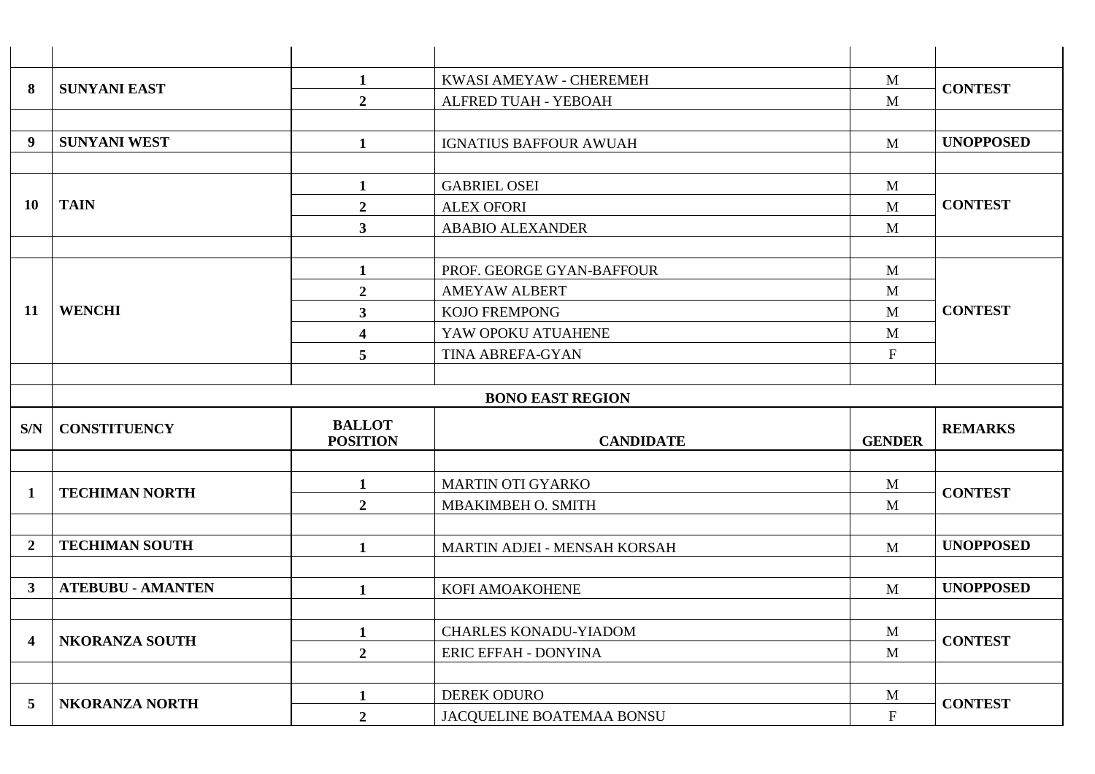|                         | <b>SUNYANI EAST</b>      | $\mathbf{1}$                     | KWASI AMEYAW - CHEREMEH                  | $\mathbf{M}$     | <b>CONTEST</b>   |  |  |  |
|-------------------------|--------------------------|----------------------------------|------------------------------------------|------------------|------------------|--|--|--|
| 8                       |                          | $\overline{2}$                   | ALFRED TUAH - YEBOAH                     | M                |                  |  |  |  |
|                         |                          |                                  |                                          |                  |                  |  |  |  |
| 9                       | <b>SUNYANI WEST</b>      | $\mathbf{1}$                     | <b>IGNATIUS BAFFOUR AWUAH</b>            | M                | <b>UNOPPOSED</b> |  |  |  |
|                         |                          |                                  |                                          |                  |                  |  |  |  |
|                         |                          | $\mathbf{1}$                     | <b>GABRIEL OSEI</b>                      | $\mathbf{M}$     |                  |  |  |  |
| <b>10</b>               | <b>TAIN</b>              | $\overline{2}$                   | <b>ALEX OFORI</b>                        | M                | <b>CONTEST</b>   |  |  |  |
|                         |                          | $\mathbf{3}$                     | <b>ABABIO ALEXANDER</b>                  | M                |                  |  |  |  |
|                         |                          |                                  |                                          |                  |                  |  |  |  |
|                         |                          | $\mathbf{1}$                     | PROF. GEORGE GYAN-BAFFOUR                | $\mathbf{M}$     |                  |  |  |  |
|                         |                          | $\overline{2}$                   | <b>AMEYAW ALBERT</b>                     | $\mathbf{M}$     |                  |  |  |  |
| 11                      | <b>WENCHI</b>            | 3                                | <b>KOJO FREMPONG</b>                     | M                | <b>CONTEST</b>   |  |  |  |
|                         |                          | $\overline{\mathbf{4}}$          | YAW OPOKU ATUAHENE                       | $\mathbf{M}$     |                  |  |  |  |
|                         |                          | 5                                | TINA ABREFA-GYAN                         | ${\bf F}$        |                  |  |  |  |
|                         |                          |                                  |                                          |                  |                  |  |  |  |
|                         | <b>BONO EAST REGION</b>  |                                  |                                          |                  |                  |  |  |  |
|                         |                          |                                  |                                          |                  |                  |  |  |  |
| S/N                     | <b>CONSTITUENCY</b>      | <b>BALLOT</b><br><b>POSITION</b> | <b>CANDIDATE</b>                         | <b>GENDER</b>    | <b>REMARKS</b>   |  |  |  |
|                         |                          |                                  |                                          |                  |                  |  |  |  |
|                         |                          | $\mathbf{1}$                     | <b>MARTIN OTI GYARKO</b>                 | $\mathbf{M}$     |                  |  |  |  |
| $\mathbf{1}$            | <b>TECHIMAN NORTH</b>    | $\overline{2}$                   | MBAKIMBEH O. SMITH                       | M                | <b>CONTEST</b>   |  |  |  |
|                         |                          |                                  |                                          |                  |                  |  |  |  |
| $\overline{2}$          | <b>TECHIMAN SOUTH</b>    | $\mathbf{1}$                     | MARTIN ADJEI - MENSAH KORSAH             | M                | <b>UNOPPOSED</b> |  |  |  |
|                         |                          |                                  |                                          |                  |                  |  |  |  |
| $\mathbf{3}$            | <b>ATEBUBU - AMANTEN</b> | $\mathbf{1}$                     | KOFI AMOAKOHENE                          | M                | <b>UNOPPOSED</b> |  |  |  |
|                         |                          |                                  |                                          |                  |                  |  |  |  |
| $\overline{\mathbf{4}}$ | <b>NKORANZA SOUTH</b>    | $\mathbf{1}$                     | <b>CHARLES KONADU-YIADOM</b>             | $\mathbf{M}$     |                  |  |  |  |
|                         |                          | $\overline{2}$                   | ERIC EFFAH - DONYINA                     | M                | <b>CONTEST</b>   |  |  |  |
|                         |                          |                                  |                                          |                  |                  |  |  |  |
| 5                       | NKORANZA NORTH           | $\mathbf{1}$<br>$\overline{2}$   | DEREK ODURO<br>JACOUELINE BOATEMAA BONSU | M<br>$\mathbf F$ | <b>CONTEST</b>   |  |  |  |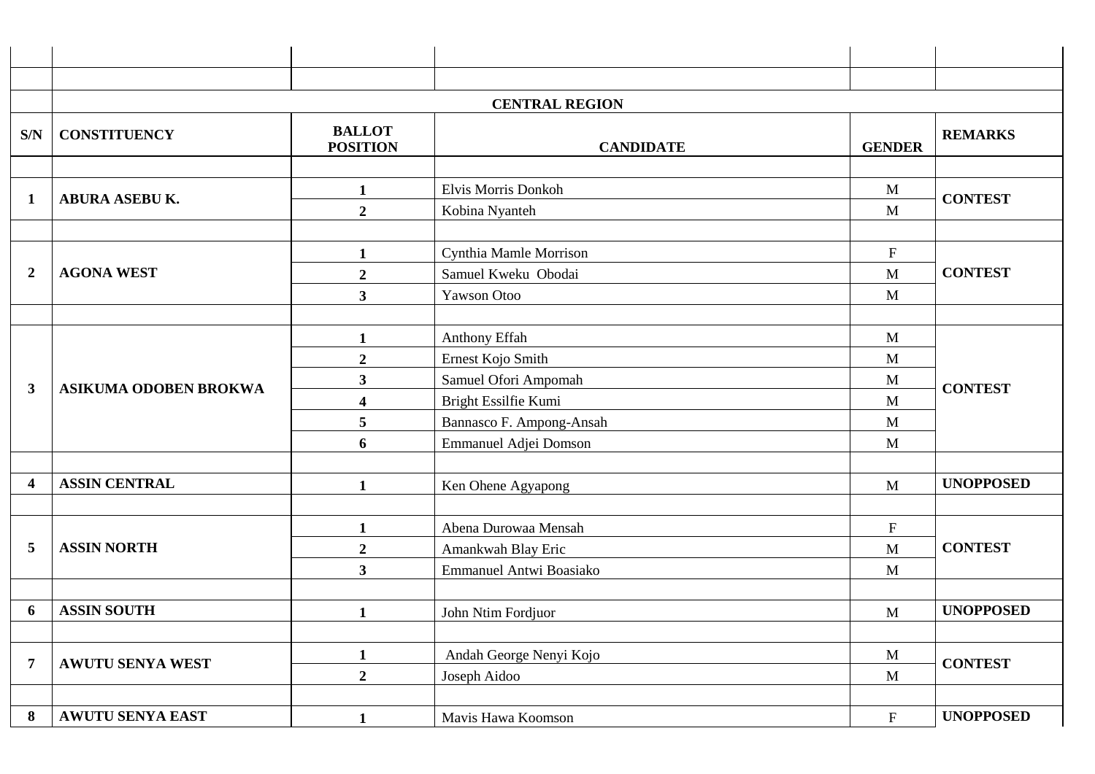|                |                              |                                  | <b>CENTRAL REGION</b>    |                           |                  |
|----------------|------------------------------|----------------------------------|--------------------------|---------------------------|------------------|
| S/N            | <b>CONSTITUENCY</b>          | <b>BALLOT</b><br><b>POSITION</b> | <b>CANDIDATE</b>         | <b>GENDER</b>             | <b>REMARKS</b>   |
|                |                              |                                  |                          |                           |                  |
| $\mathbf 1$    | <b>ABURA ASEBU K.</b>        | $\mathbf{1}$                     | Elvis Morris Donkoh      | M                         | <b>CONTEST</b>   |
|                |                              | $\boldsymbol{2}$                 | Kobina Nyanteh           | M                         |                  |
|                |                              |                                  |                          |                           |                  |
|                |                              | 1                                | Cynthia Mamle Morrison   | ${\bf F}$                 |                  |
| $\overline{2}$ | <b>AGONA WEST</b>            | $\overline{2}$                   | Samuel Kweku Obodai      | M                         | <b>CONTEST</b>   |
|                |                              | $\mathbf{3}$                     | Yawson Otoo              | M                         |                  |
|                |                              |                                  | Anthony Effah            | M                         |                  |
|                | <b>ASIKUMA ODOBEN BROKWA</b> | $\mathbf{1}$<br>$\boldsymbol{2}$ | Ernest Kojo Smith        | M                         | <b>CONTEST</b>   |
|                |                              | $\mathbf{3}$                     | Samuel Ofori Ampomah     | M                         |                  |
| 3              |                              | $\overline{\mathbf{4}}$          | Bright Essilfie Kumi     | M                         |                  |
|                |                              | 5                                | Bannasco F. Ampong-Ansah | M                         |                  |
|                |                              | 6                                | Emmanuel Adjei Domson    | M                         |                  |
|                |                              |                                  |                          |                           |                  |
| 4              | <b>ASSIN CENTRAL</b>         | 1                                | Ken Ohene Agyapong       | M                         | <b>UNOPPOSED</b> |
|                |                              |                                  |                          |                           |                  |
|                |                              | 1                                | Abena Durowaa Mensah     | $\boldsymbol{\mathrm{F}}$ |                  |
| 5              | <b>ASSIN NORTH</b>           | $\boldsymbol{2}$                 | Amankwah Blay Eric       | M                         | <b>CONTEST</b>   |
|                |                              | $\mathbf{3}$                     | Emmanuel Antwi Boasiako  | M                         |                  |
|                |                              |                                  |                          |                           |                  |
| 6              | <b>ASSIN SOUTH</b>           |                                  | John Ntim Fordjuor       | M                         | <b>UNOPPOSED</b> |
|                |                              |                                  |                          |                           |                  |
| $\overline{7}$ | <b>AWUTU SENYA WEST</b>      | $\mathbf{1}$                     | Andah George Nenyi Kojo  | M                         | <b>CONTEST</b>   |
|                |                              | $\overline{2}$                   | Joseph Aidoo             | M                         |                  |
|                |                              |                                  |                          |                           |                  |
| 8              | AWUTU SENYA EAST             | $\mathbf{1}$                     | Mavis Hawa Koomson       | $\mathbf F$               | <b>UNOPPOSED</b> |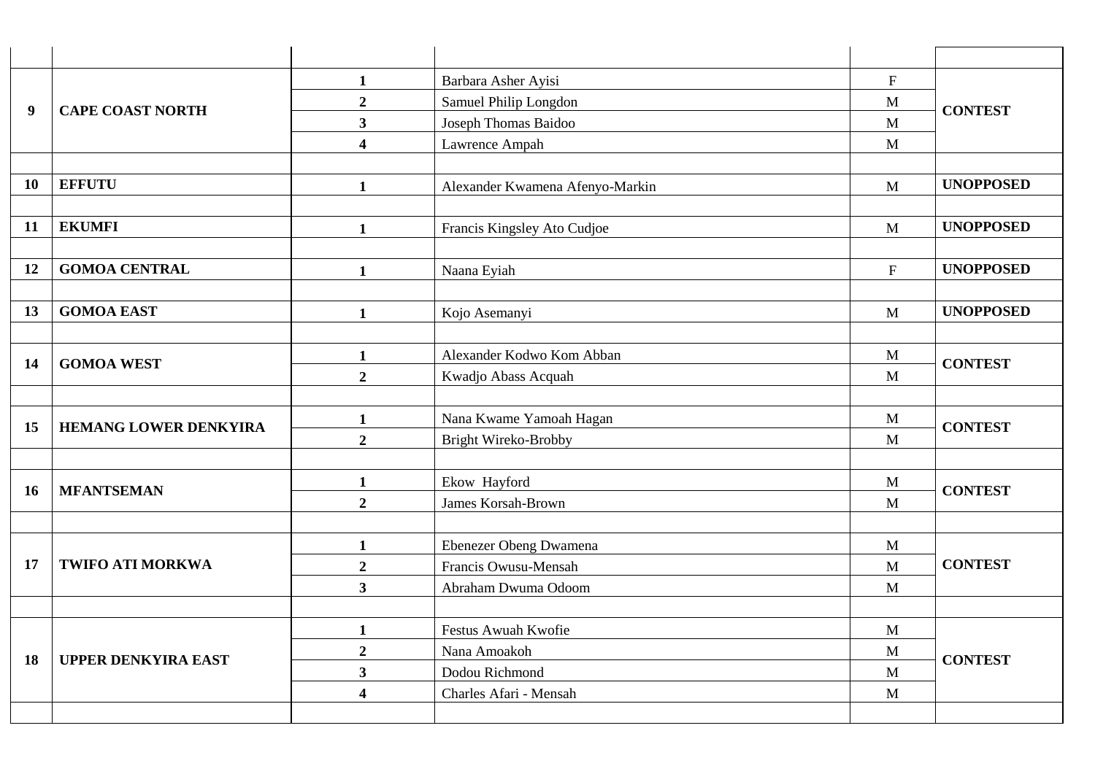|           |                              | $\mathbf{1}$            | Barbara Asher Ayisi                      | $\mathbf{F}$              |                  |
|-----------|------------------------------|-------------------------|------------------------------------------|---------------------------|------------------|
| 9         | <b>CAPE COAST NORTH</b>      | $\overline{2}$          | Samuel Philip Longdon                    | M                         | <b>CONTEST</b>   |
|           |                              | $\overline{\mathbf{3}}$ | Joseph Thomas Baidoo                     | $\mathbf{M}$              |                  |
|           |                              | $\overline{\mathbf{4}}$ | Lawrence Ampah                           | M                         |                  |
|           |                              |                         |                                          |                           |                  |
| <b>10</b> | <b>EFFUTU</b>                | $\mathbf{1}$            | Alexander Kwamena Afenyo-Markin          | $\mathbf{M}$              | <b>UNOPPOSED</b> |
|           |                              |                         |                                          |                           |                  |
| <b>11</b> | <b>EKUMFI</b>                | $\mathbf{1}$            | Francis Kingsley Ato Cudjoe              | $\mathbf{M}$              | <b>UNOPPOSED</b> |
|           |                              |                         |                                          |                           |                  |
| 12        | <b>GOMOA CENTRAL</b>         | $\mathbf{1}$            | Naana Eyiah                              | $\boldsymbol{\mathrm{F}}$ | <b>UNOPPOSED</b> |
|           |                              |                         |                                          |                           |                  |
| 13        | <b>GOMOA EAST</b>            | $\mathbf{1}$            | Kojo Asemanyi                            | M                         | <b>UNOPPOSED</b> |
|           |                              |                         |                                          |                           |                  |
| 14        | <b>GOMOA WEST</b>            | $\mathbf{1}$            | Alexander Kodwo Kom Abban                | M                         | <b>CONTEST</b>   |
|           |                              | $\overline{2}$          | Kwadjo Abass Acquah                      | M                         |                  |
|           |                              |                         |                                          |                           |                  |
| 15        | <b>HEMANG LOWER DENKYIRA</b> | $\mathbf{1}$            | Nana Kwame Yamoah Hagan                  | $\mathbf M$               | <b>CONTEST</b>   |
|           |                              | $\overline{2}$          | <b>Bright Wireko-Brobby</b>              | M                         |                  |
|           |                              |                         |                                          |                           |                  |
| <b>16</b> | <b>MFANTSEMAN</b>            | $\mathbf{1}$            | Ekow Hayford                             | M                         | <b>CONTEST</b>   |
|           |                              | $\overline{2}$          | James Korsah-Brown                       | M                         |                  |
|           |                              |                         |                                          |                           |                  |
|           |                              | $\mathbf{1}$            | Ebenezer Obeng Dwamena                   | $\mathbf M$               |                  |
| 17        | <b>TWIFO ATI MORKWA</b>      | $\overline{2}$          | Francis Owusu-Mensah                     | M                         | <b>CONTEST</b>   |
|           |                              | $\overline{\mathbf{3}}$ | Abraham Dwuma Odoom                      | M                         |                  |
|           |                              |                         |                                          |                           |                  |
|           |                              | $\mathbf{1}$            | Festus Awuah Kwofie                      | $\mathbf{M}$              |                  |
| 18        | <b>UPPER DENKYIRA EAST</b>   | $\overline{2}$          | Nana Amoakoh                             | M                         | <b>CONTEST</b>   |
|           |                              | $\overline{\mathbf{3}}$ | Dodou Richmond<br>Charles Afari - Mensah | M                         |                  |
|           |                              | $\overline{\mathbf{4}}$ |                                          | M                         |                  |
|           |                              |                         |                                          |                           |                  |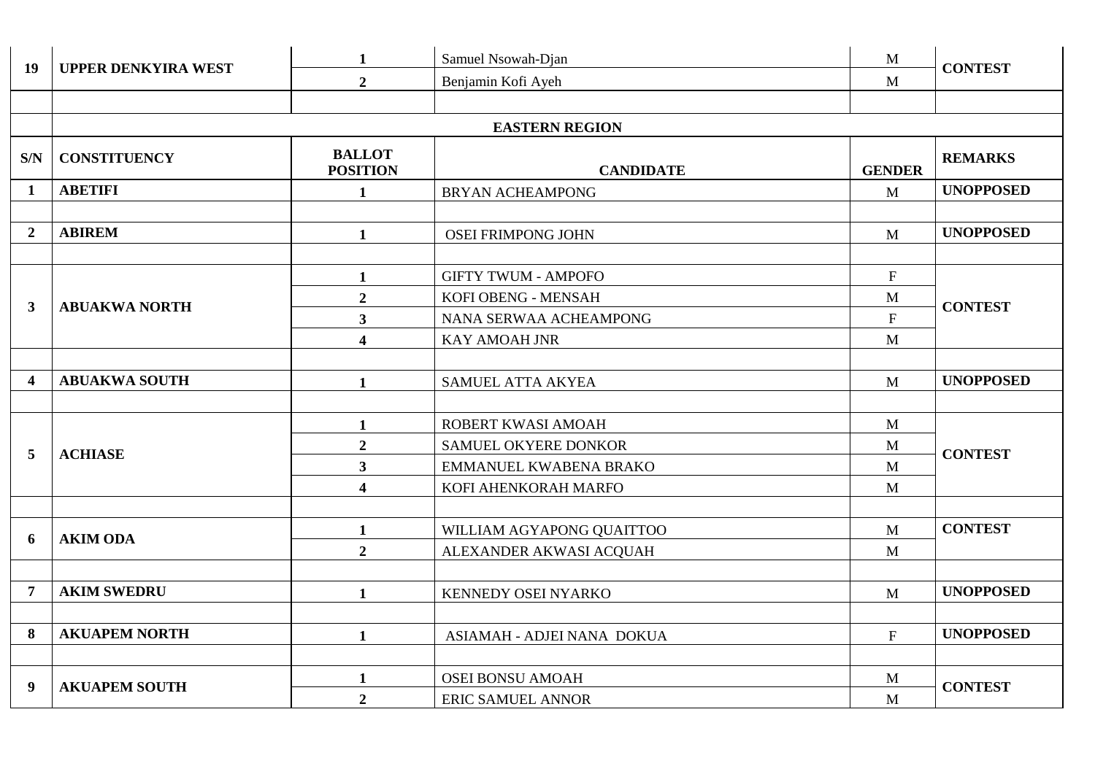| <b>19</b>               | <b>UPPER DENKYIRA WEST</b> | $\mathbf{1}$                     | Samuel Nsowah-Djan         | $\mathbf{M}$              | <b>CONTEST</b>   |  |  |  |  |
|-------------------------|----------------------------|----------------------------------|----------------------------|---------------------------|------------------|--|--|--|--|
|                         |                            | $\overline{2}$                   | Benjamin Kofi Ayeh         | M                         |                  |  |  |  |  |
|                         |                            |                                  |                            |                           |                  |  |  |  |  |
|                         | <b>EASTERN REGION</b>      |                                  |                            |                           |                  |  |  |  |  |
| S/N                     | <b>CONSTITUENCY</b>        | <b>BALLOT</b><br><b>POSITION</b> | <b>CANDIDATE</b>           | <b>GENDER</b>             | <b>REMARKS</b>   |  |  |  |  |
| $\mathbf{1}$            | <b>ABETIFI</b>             | $\mathbf{1}$                     | <b>BRYAN ACHEAMPONG</b>    | M                         | <b>UNOPPOSED</b> |  |  |  |  |
|                         |                            |                                  |                            |                           |                  |  |  |  |  |
| $\overline{2}$          | <b>ABIREM</b>              | $\mathbf{1}$                     | <b>OSEI FRIMPONG JOHN</b>  | $\mathbf{M}$              | <b>UNOPPOSED</b> |  |  |  |  |
|                         |                            |                                  |                            |                           |                  |  |  |  |  |
|                         |                            | $\mathbf{1}$                     | <b>GIFTY TWUM - AMPOFO</b> | $\mathbf F$               |                  |  |  |  |  |
| $\mathbf{3}$            | <b>ABUAKWA NORTH</b>       | $\overline{2}$                   | KOFI OBENG - MENSAH        | $\mathbf{M}$              | <b>CONTEST</b>   |  |  |  |  |
|                         |                            | 3 <sup>1</sup>                   | NANA SERWAA ACHEAMPONG     | $\mathbf F$               |                  |  |  |  |  |
|                         |                            | $\overline{\mathbf{4}}$          | <b>KAY AMOAH JNR</b>       | M                         |                  |  |  |  |  |
|                         |                            |                                  |                            |                           |                  |  |  |  |  |
| $\overline{\mathbf{4}}$ | <b>ABUAKWA SOUTH</b>       | $\mathbf{1}$                     | SAMUEL ATTA AKYEA          | M                         | <b>UNOPPOSED</b> |  |  |  |  |
|                         |                            |                                  |                            |                           |                  |  |  |  |  |
|                         |                            | $\mathbf{1}$                     | ROBERT KWASI AMOAH         | $\mathbf{M}$              |                  |  |  |  |  |
| 5                       | <b>ACHIASE</b>             | $\overline{2}$                   | SAMUEL OKYERE DONKOR       | M                         | <b>CONTEST</b>   |  |  |  |  |
|                         |                            | $\mathbf{3}$                     | EMMANUEL KWABENA BRAKO     | M                         |                  |  |  |  |  |
|                         |                            | $\overline{\mathbf{4}}$          | KOFI AHENKORAH MARFO       | M                         |                  |  |  |  |  |
|                         |                            |                                  |                            |                           |                  |  |  |  |  |
| 6                       | <b>AKIM ODA</b>            | 1                                | WILLIAM AGYAPONG QUAITTOO  | M                         | <b>CONTEST</b>   |  |  |  |  |
|                         |                            | $\overline{2}$                   | ALEXANDER AKWASI ACQUAH    | M                         |                  |  |  |  |  |
|                         |                            |                                  |                            |                           |                  |  |  |  |  |
| $\overline{7}$          | <b>AKIM SWEDRU</b>         | $\mathbf{1}$                     | KENNEDY OSEI NYARKO        | M                         | <b>UNOPPOSED</b> |  |  |  |  |
|                         |                            |                                  |                            |                           |                  |  |  |  |  |
| 8                       | <b>AKUAPEM NORTH</b>       | $\mathbf{1}$                     | ASIAMAH - ADJEI NANA DOKUA | $\boldsymbol{\mathrm{F}}$ | <b>UNOPPOSED</b> |  |  |  |  |
|                         |                            |                                  |                            |                           |                  |  |  |  |  |
| 9                       | <b>AKUAPEM SOUTH</b>       | 1                                | <b>OSEI BONSU AMOAH</b>    | M                         | <b>CONTEST</b>   |  |  |  |  |
|                         |                            | $\overline{2}$                   | <b>ERIC SAMUEL ANNOR</b>   | $\mathbf{M}$              |                  |  |  |  |  |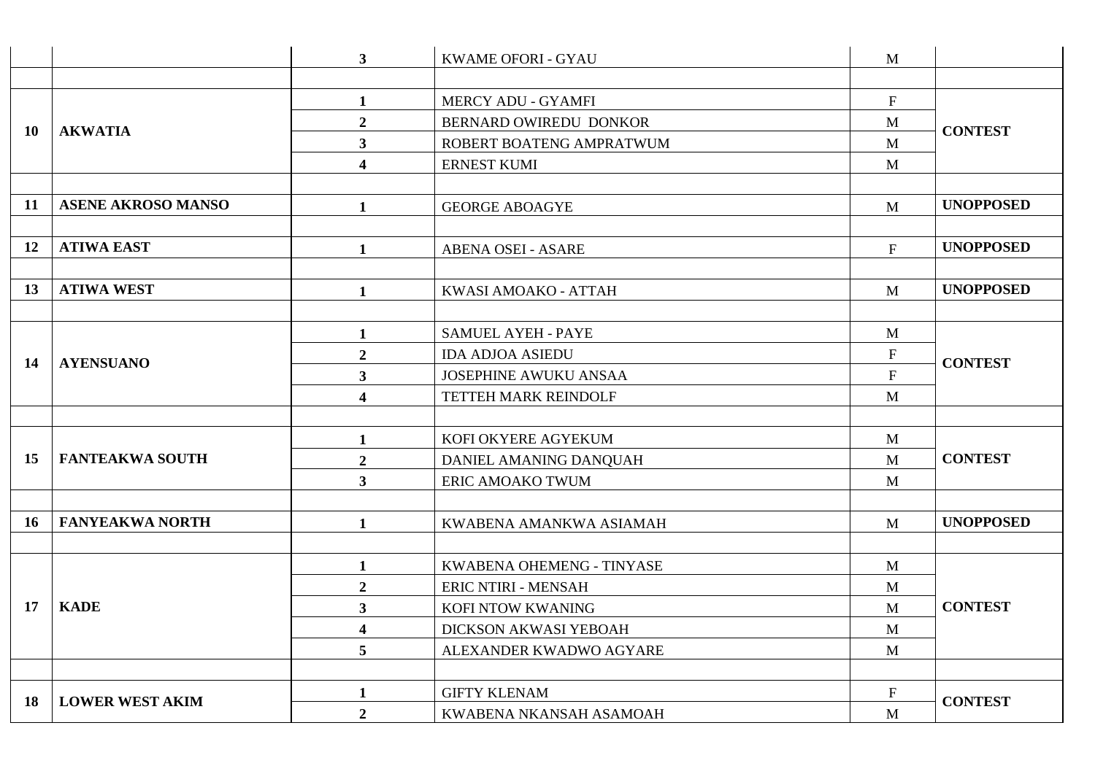|    |                           | 3 <sup>1</sup>          | <b>KWAME OFORI - GYAU</b>  | M                         |                  |
|----|---------------------------|-------------------------|----------------------------|---------------------------|------------------|
|    |                           |                         |                            |                           |                  |
|    |                           | $\mathbf{1}$            | <b>MERCY ADU - GYAMFI</b>  | $\mathbf F$               |                  |
| 10 | <b>AKWATIA</b>            | $\overline{2}$          | BERNARD OWIREDU DONKOR     | M                         | <b>CONTEST</b>   |
|    |                           | $\overline{\mathbf{3}}$ | ROBERT BOATENG AMPRATWUM   | M                         |                  |
|    |                           | $\overline{\mathbf{4}}$ | <b>ERNEST KUMI</b>         | $\mathbf{M}$              |                  |
|    |                           |                         |                            |                           |                  |
| 11 | <b>ASENE AKROSO MANSO</b> | $\mathbf{1}$            | <b>GEORGE ABOAGYE</b>      | M                         | <b>UNOPPOSED</b> |
|    |                           |                         |                            |                           |                  |
| 12 | <b>ATIWA EAST</b>         | $\mathbf{1}$            | <b>ABENA OSEI - ASARE</b>  | $\mathbf{F}$              | <b>UNOPPOSED</b> |
|    |                           |                         |                            |                           |                  |
| 13 | <b>ATIWA WEST</b>         | $\mathbf{1}$            | KWASI AMOAKO - ATTAH       | M                         | <b>UNOPPOSED</b> |
|    |                           |                         |                            |                           |                  |
|    | <b>AYENSUANO</b>          | $\mathbf{1}$            | <b>SAMUEL AYEH - PAYE</b>  | $\mathbf{M}$              |                  |
| 14 |                           | $\boldsymbol{2}$        | <b>IDA ADJOA ASIEDU</b>    | ${\bf F}$                 | <b>CONTEST</b>   |
|    |                           | $\mathbf{3}$            | JOSEPHINE AWUKU ANSAA      | $\boldsymbol{\mathrm{F}}$ |                  |
|    |                           | $\overline{\mathbf{4}}$ | TETTEH MARK REINDOLF       | M                         |                  |
|    |                           |                         |                            |                           |                  |
|    |                           | $\mathbf{1}$            | KOFI OKYERE AGYEKUM        | M                         |                  |
| 15 | <b>FANTEAKWA SOUTH</b>    | $\overline{2}$          | DANIEL AMANING DANQUAH     | M                         | <b>CONTEST</b>   |
|    |                           | $\mathbf{3}$            | ERIC AMOAKO TWUM           | M                         |                  |
|    |                           |                         |                            |                           |                  |
| 16 | <b>FANYEAKWA NORTH</b>    | $\mathbf{1}$            | KWABENA AMANKWA ASIAMAH    | M                         | <b>UNOPPOSED</b> |
|    |                           |                         |                            |                           |                  |
|    |                           | $\mathbf{1}$            | KWABENA OHEMENG - TINYASE  | $\mathbf{M}$              |                  |
|    |                           | $\overline{2}$          | <b>ERIC NTIRI - MENSAH</b> | $\mathbf{M}$              |                  |
| 17 | <b>KADE</b>               | $\overline{\mathbf{3}}$ | KOFI NTOW KWANING          | $\mathbf{M}$              | <b>CONTEST</b>   |
|    |                           | $\overline{\mathbf{4}}$ | DICKSON AKWASI YEBOAH      | M                         |                  |
|    |                           | 5                       | ALEXANDER KWADWO AGYARE    | $\mathbf M$               |                  |
|    |                           |                         |                            |                           |                  |
| 18 | <b>LOWER WEST AKIM</b>    | $\mathbf{1}$            | <b>GIFTY KLENAM</b>        | $\mathbf F$               | <b>CONTEST</b>   |
|    |                           | $\overline{2}$          | KWABENA NKANSAH ASAMOAH    | $\mathbf{M}$              |                  |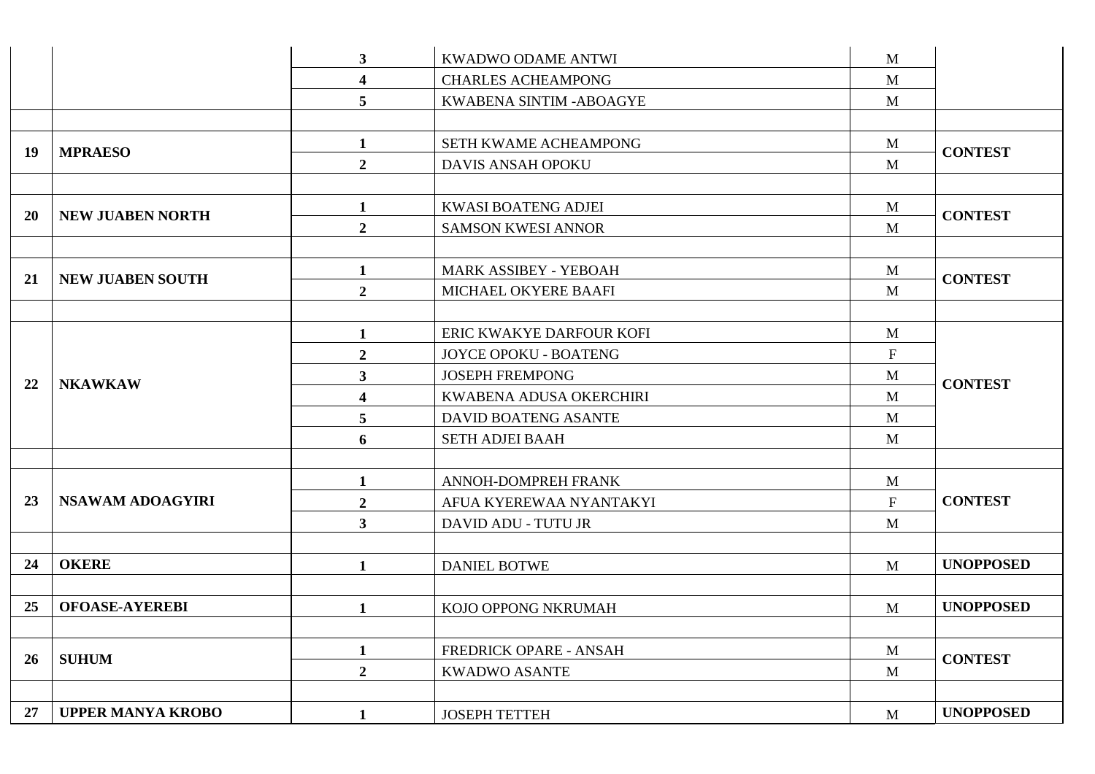|           |                          | 3 <sup>1</sup>          | KWADWO ODAME ANTWI             | M            |                  |
|-----------|--------------------------|-------------------------|--------------------------------|--------------|------------------|
|           |                          | $\overline{\mathbf{4}}$ | <b>CHARLES ACHEAMPONG</b>      | $\mathbf{M}$ |                  |
|           |                          | 5                       | <b>KWABENA SINTIM -ABOAGYE</b> | $\mathbf M$  |                  |
|           |                          |                         |                                |              |                  |
| 19        | <b>MPRAESO</b>           | $\mathbf{1}$            | SETH KWAME ACHEAMPONG          | $\mathbf{M}$ | <b>CONTEST</b>   |
|           |                          | $\overline{2}$          | <b>DAVIS ANSAH OPOKU</b>       | M            |                  |
|           |                          |                         |                                |              |                  |
| <b>20</b> | <b>NEW JUABEN NORTH</b>  | $\mathbf{1}$            | <b>KWASI BOATENG ADJEI</b>     | M            | <b>CONTEST</b>   |
|           |                          | $\overline{2}$          | <b>SAMSON KWESI ANNOR</b>      | $\mathbf{M}$ |                  |
|           |                          |                         |                                |              |                  |
| 21        | <b>NEW JUABEN SOUTH</b>  | $\mathbf{1}$            | MARK ASSIBEY - YEBOAH          | M            | <b>CONTEST</b>   |
|           |                          | $\overline{2}$          | MICHAEL OKYERE BAAFI           | M            |                  |
|           |                          |                         |                                |              |                  |
|           |                          | $\mathbf{1}$            | ERIC KWAKYE DARFOUR KOFI       | M            |                  |
|           | <b>NKAWKAW</b>           | $\boldsymbol{2}$        | JOYCE OPOKU - BOATENG          | $\mathbf F$  |                  |
| 22        |                          | 3 <sup>1</sup>          | <b>JOSEPH FREMPONG</b>         | M            | <b>CONTEST</b>   |
|           |                          | $\overline{\mathbf{4}}$ | KWABENA ADUSA OKERCHIRI        | $\mathbf{M}$ |                  |
|           |                          | 5                       | DAVID BOATENG ASANTE           | $\mathbf M$  |                  |
|           |                          | 6                       | <b>SETH ADJEI BAAH</b>         | M            |                  |
|           |                          |                         |                                |              |                  |
|           |                          | $\mathbf{1}$            | ANNOH-DOMPREH FRANK            | M            |                  |
| 23        | NSAWAM ADOAGYIRI         | $\boldsymbol{2}$        | AFUA KYEREWAA NYANTAKYI        | $\mathbf F$  | <b>CONTEST</b>   |
|           |                          | 3 <sup>1</sup>          | DAVID ADU - TUTU JR            | M            |                  |
|           |                          |                         |                                |              |                  |
| 24        | <b>OKERE</b>             | $\mathbf{1}$            | <b>DANIEL BOTWE</b>            | M            | <b>UNOPPOSED</b> |
|           |                          |                         |                                |              |                  |
| 25        | <b>OFOASE-AYEREBI</b>    | $\mathbf{1}$            | KOJO OPPONG NKRUMAH            | M            | <b>UNOPPOSED</b> |
|           |                          |                         |                                |              |                  |
| 26        | <b>SUHUM</b>             | $\mathbf{1}$            | FREDRICK OPARE - ANSAH         | M            | <b>CONTEST</b>   |
|           |                          | $\overline{2}$          | <b>KWADWO ASANTE</b>           | M            |                  |
|           |                          |                         |                                |              |                  |
| 27        | <b>UPPER MANYA KROBO</b> | $\mathbf{1}$            | <b>JOSEPH TETTEH</b>           | M            | <b>UNOPPOSED</b> |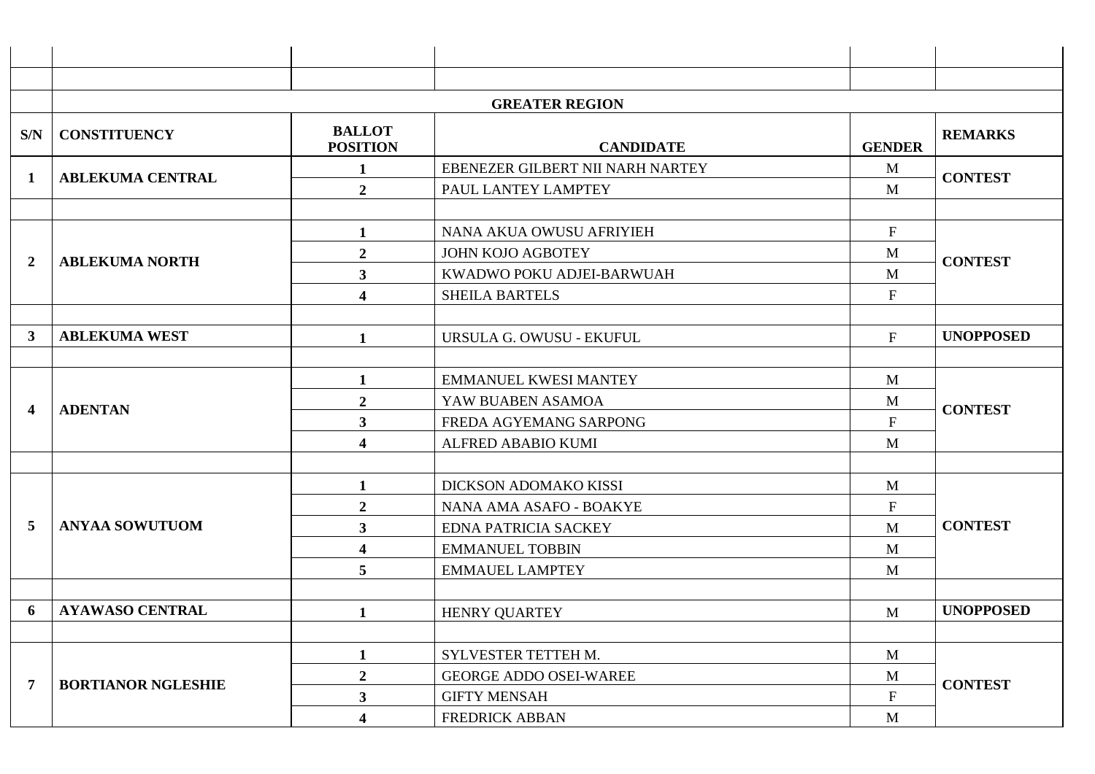|     | <b>GREATER REGION</b>     |                                  |                                  |                           |                  |
|-----|---------------------------|----------------------------------|----------------------------------|---------------------------|------------------|
| S/N | <b>CONSTITUENCY</b>       | <b>BALLOT</b><br><b>POSITION</b> | <b>CANDIDATE</b>                 | <b>GENDER</b>             | <b>REMARKS</b>   |
| 1   | <b>ABLEKUMA CENTRAL</b>   | $\mathbf 1$                      | EBENEZER GILBERT NII NARH NARTEY | M                         | <b>CONTEST</b>   |
|     |                           | $\boldsymbol{2}$                 | PAUL LANTEY LAMPTEY              | M                         |                  |
|     |                           |                                  |                                  |                           |                  |
|     |                           | 1                                | NANA AKUA OWUSU AFRIYIEH         | $\mathbf F$               |                  |
| 2   | <b>ABLEKUMA NORTH</b>     | $\boldsymbol{2}$                 | <b>JOHN KOJO AGBOTEY</b>         | M                         | <b>CONTEST</b>   |
|     |                           | $\mathbf{3}$                     | KWADWO POKU ADJEI-BARWUAH        | M                         |                  |
|     |                           | $\overline{\mathbf{4}}$          | <b>SHEILA BARTELS</b>            | $\mathbf F$               |                  |
|     |                           |                                  |                                  |                           |                  |
| 3   | <b>ABLEKUMA WEST</b>      | 1                                | URSULA G. OWUSU - EKUFUL         | F                         | <b>UNOPPOSED</b> |
|     |                           |                                  |                                  |                           |                  |
|     | <b>ADENTAN</b>            |                                  | <b>EMMANUEL KWESI MANTEY</b>     | M                         |                  |
| 4   |                           | $\boldsymbol{2}$                 | YAW BUABEN ASAMOA                | M                         | <b>CONTEST</b>   |
|     |                           | $\overline{\mathbf{3}}$          | FREDA AGYEMANG SARPONG           | $\mathbf{F}$              |                  |
|     |                           | $\overline{\mathbf{4}}$          | ALFRED ABABIO KUMI               | M                         |                  |
|     |                           |                                  |                                  |                           |                  |
|     |                           | 1                                | DICKSON ADOMAKO KISSI            | M                         |                  |
|     |                           | $\boldsymbol{2}$                 | NANA AMA ASAFO - BOAKYE          | $\boldsymbol{\mathrm{F}}$ |                  |
| 5   | <b>ANYAA SOWUTUOM</b>     | $\mathbf{3}$                     | <b>EDNA PATRICIA SACKEY</b>      | M                         | <b>CONTEST</b>   |
|     |                           | $\overline{\mathbf{4}}$          | <b>EMMANUEL TOBBIN</b>           | M                         |                  |
|     |                           | 5                                | <b>EMMAUEL LAMPTEY</b>           | M                         |                  |
|     |                           |                                  |                                  |                           |                  |
| 6   | <b>AYAWASO CENTRAL</b>    |                                  | <b>HENRY QUARTEY</b>             | M                         | <b>UNOPPOSED</b> |
|     |                           |                                  |                                  |                           |                  |
|     |                           |                                  | SYLVESTER TETTEH M.              | M                         |                  |
| 7   | <b>BORTIANOR NGLESHIE</b> | $\boldsymbol{2}$                 | <b>GEORGE ADDO OSEI-WAREE</b>    | M                         | <b>CONTEST</b>   |
|     |                           | $\mathbf{3}$                     | <b>GIFTY MENSAH</b>              | ${\bf F}$                 |                  |
|     |                           | $\overline{\mathbf{4}}$          | <b>FREDRICK ABBAN</b>            | $\mathbf{M}$              |                  |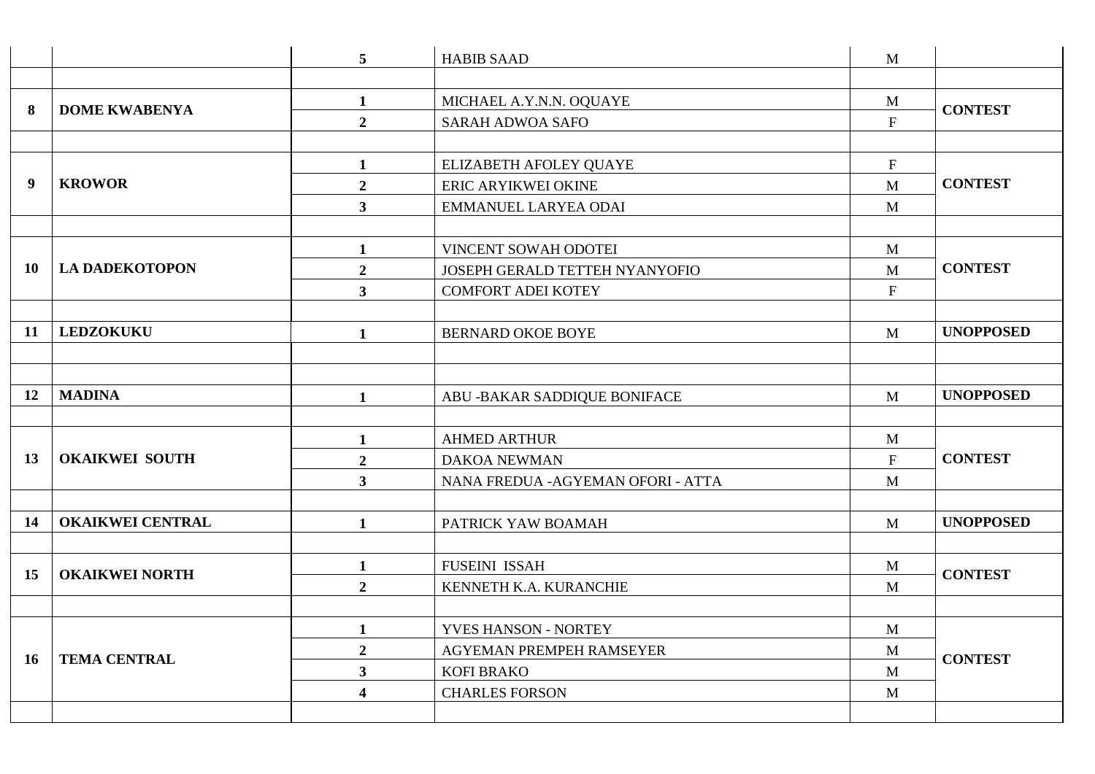|    |                         | $5\overline{)}$         | <b>HABIB SAAD</b>                  | M                         |                  |
|----|-------------------------|-------------------------|------------------------------------|---------------------------|------------------|
|    |                         |                         |                                    |                           |                  |
| 8  | <b>DOME KWABENYA</b>    | $\mathbf{1}$            | MICHAEL A.Y.N.N. OQUAYE            | M                         | <b>CONTEST</b>   |
|    |                         | $\overline{2}$          | <b>SARAH ADWOA SAFO</b>            | $\mathbf F$               |                  |
|    |                         |                         |                                    |                           |                  |
|    |                         | $\mathbf{1}$            | ELIZABETH AFOLEY QUAYE             | ${\bf F}$                 |                  |
| 9  | <b>KROWOR</b>           | $\overline{2}$          | ERIC ARYIKWEI OKINE                | M                         | <b>CONTEST</b>   |
|    |                         | $\mathbf{3}$            | <b>EMMANUEL LARYEA ODAI</b>        | M                         |                  |
|    |                         |                         |                                    |                           |                  |
|    |                         | $\mathbf{1}$            | VINCENT SOWAH ODOTEI               | M                         |                  |
| 10 | <b>LA DADEKOTOPON</b>   | $\overline{2}$          | JOSEPH GERALD TETTEH NYANYOFIO     | M                         | <b>CONTEST</b>   |
|    |                         | $\overline{\mathbf{3}}$ | <b>COMFORT ADEI KOTEY</b>          | $\mathbf F$               |                  |
|    |                         |                         |                                    |                           |                  |
| 11 | <b>LEDZOKUKU</b>        | $\mathbf{1}$            | <b>BERNARD OKOE BOYE</b>           | M                         | <b>UNOPPOSED</b> |
|    |                         |                         |                                    |                           |                  |
|    |                         |                         |                                    |                           |                  |
| 12 | <b>MADINA</b>           | $\mathbf{1}$            | ABU - BAKAR SADDIQUE BONIFACE      | M                         | <b>UNOPPOSED</b> |
|    |                         |                         |                                    |                           |                  |
|    | <b>OKAIKWEI SOUTH</b>   | $\mathbf{1}$            | <b>AHMED ARTHUR</b>                | M                         |                  |
| 13 |                         | $\overline{2}$          | DAKOA NEWMAN                       | $\boldsymbol{\mathrm{F}}$ | <b>CONTEST</b>   |
|    |                         | 3 <sup>1</sup>          | NANA FREDUA - AGYEMAN OFORI - ATTA | M                         |                  |
|    |                         |                         |                                    |                           |                  |
| 14 | <b>OKAIKWEI CENTRAL</b> | $\mathbf{1}$            | PATRICK YAW BOAMAH                 | M                         | <b>UNOPPOSED</b> |
|    |                         |                         |                                    |                           |                  |
| 15 | <b>OKAIKWEI NORTH</b>   | $\mathbf{1}$            | <b>FUSEINI ISSAH</b>               | M                         | <b>CONTEST</b>   |
|    |                         | $\overline{2}$          | KENNETH K.A. KURANCHIE             | M                         |                  |
|    |                         |                         |                                    |                           |                  |
|    |                         | $\mathbf{1}$            | YVES HANSON - NORTEY               | $\mathbf M$               |                  |
| 16 | <b>TEMA CENTRAL</b>     | $\overline{2}$          | AGYEMAN PREMPEH RAMSEYER           | M                         | <b>CONTEST</b>   |
|    |                         | $\overline{\mathbf{3}}$ | <b>KOFI BRAKO</b>                  | M                         |                  |
|    |                         | $\overline{\mathbf{4}}$ | <b>CHARLES FORSON</b>              | M                         |                  |
|    |                         |                         |                                    |                           |                  |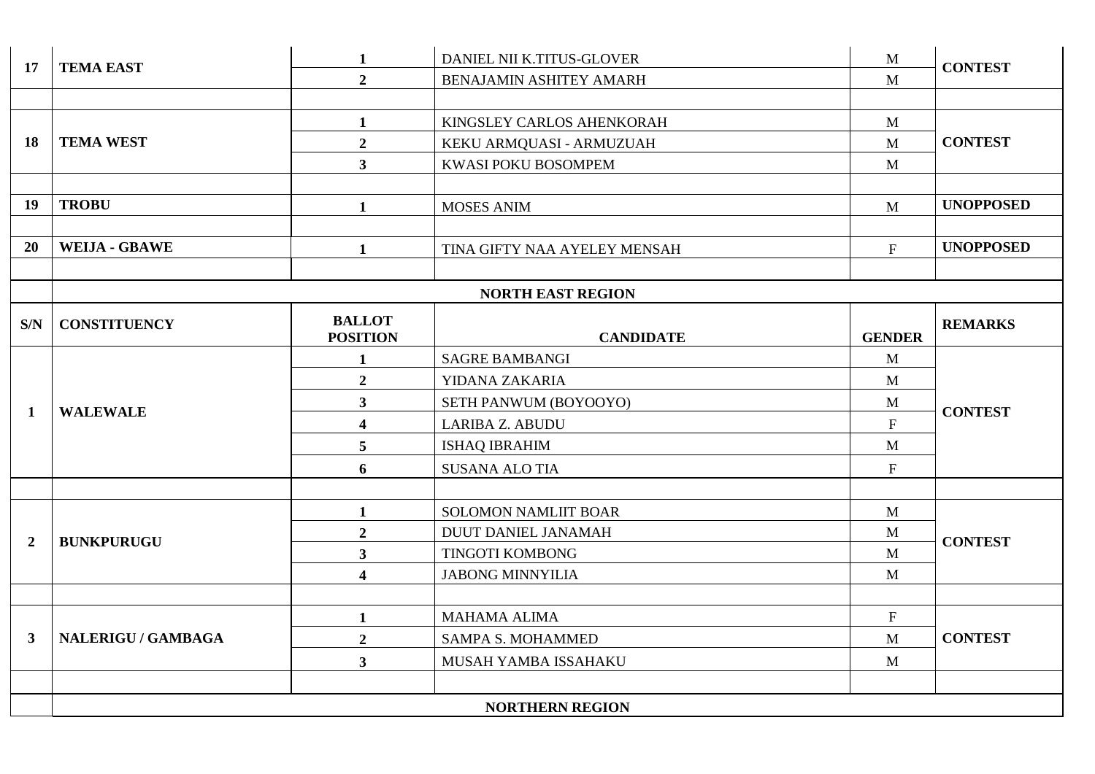| 17             | <b>TEMA EAST</b>          | $\mathbf{1}$            | DANIEL NII K.TITUS-GLOVER    | M                         | <b>CONTEST</b>   |  |
|----------------|---------------------------|-------------------------|------------------------------|---------------------------|------------------|--|
|                |                           | $\overline{2}$          | BENAJAMIN ASHITEY AMARH      | $\mathbf{M}$              |                  |  |
|                |                           |                         |                              |                           |                  |  |
|                |                           | $\mathbf{1}$            | KINGSLEY CARLOS AHENKORAH    | $\mathbf{M}$              |                  |  |
| 18             | <b>TEMA WEST</b>          | $\overline{2}$          | KEKU ARMQUASI - ARMUZUAH     | $\mathbf{M}$              | <b>CONTEST</b>   |  |
|                |                           | $\overline{\mathbf{3}}$ | KWASI POKU BOSOMPEM          | M                         |                  |  |
|                |                           |                         |                              |                           |                  |  |
| 19             | <b>TROBU</b>              | $\mathbf{1}$            | <b>MOSES ANIM</b>            | M                         | <b>UNOPPOSED</b> |  |
|                |                           |                         |                              |                           |                  |  |
| 20             | <b>WEIJA - GBAWE</b>      | $\mathbf{1}$            | TINA GIFTY NAA AYELEY MENSAH | $\mathbf F$               | <b>UNOPPOSED</b> |  |
|                |                           |                         |                              |                           |                  |  |
|                |                           |                         | <b>NORTH EAST REGION</b>     |                           |                  |  |
| S/N            | <b>CONSTITUENCY</b>       | <b>BALLOT</b>           |                              |                           | <b>REMARKS</b>   |  |
|                |                           | <b>POSITION</b>         | <b>CANDIDATE</b>             | <b>GENDER</b>             |                  |  |
|                |                           | $\mathbf{1}$            | <b>SAGRE BAMBANGI</b>        | $\mathbf{M}$              |                  |  |
|                | <b>WALEWALE</b>           |                         | $\overline{2}$               | YIDANA ZAKARIA            | M                |  |
| $\mathbf{1}$   |                           | $\overline{\mathbf{3}}$ | SETH PANWUM (BOYOOYO)        | M                         | <b>CONTEST</b>   |  |
|                |                           | 4                       | LARIBA Z. ABUDU              | $\boldsymbol{\mathrm{F}}$ |                  |  |
|                |                           | 5                       | <b>ISHAQ IBRAHIM</b>         | $\mathbf{M}$              |                  |  |
|                |                           | 6                       | <b>SUSANA ALO TIA</b>        | $\boldsymbol{\mathrm{F}}$ |                  |  |
|                |                           |                         |                              |                           |                  |  |
|                | <b>BUNKPURUGU</b>         | $\mathbf{1}$            | <b>SOLOMON NAMLIIT BOAR</b>  | $\mathbf{M}$              |                  |  |
| $\overline{2}$ |                           | $\overline{2}$          | <b>DUUT DANIEL JANAMAH</b>   | $\mathbf M$               | <b>CONTEST</b>   |  |
|                |                           | $\overline{\mathbf{3}}$ | TINGOTI KOMBONG              | M                         |                  |  |
|                |                           | $\overline{\mathbf{4}}$ | <b>JABONG MINNYILIA</b>      | M                         |                  |  |
|                |                           |                         |                              |                           |                  |  |
|                |                           | $\mathbf{1}$            | <b>MAHAMA ALIMA</b>          | $\mathbf F$               |                  |  |
| $\mathbf{3}$   | <b>NALERIGU / GAMBAGA</b> | $\overline{2}$          | <b>SAMPA S. MOHAMMED</b>     | $\mathbf{M}$              | <b>CONTEST</b>   |  |
|                |                           | $\overline{\mathbf{3}}$ | MUSAH YAMBA ISSAHAKU         | $\mathbf{M}$              |                  |  |
|                |                           |                         |                              |                           |                  |  |
|                |                           |                         | <b>NORTHERN REGION</b>       |                           |                  |  |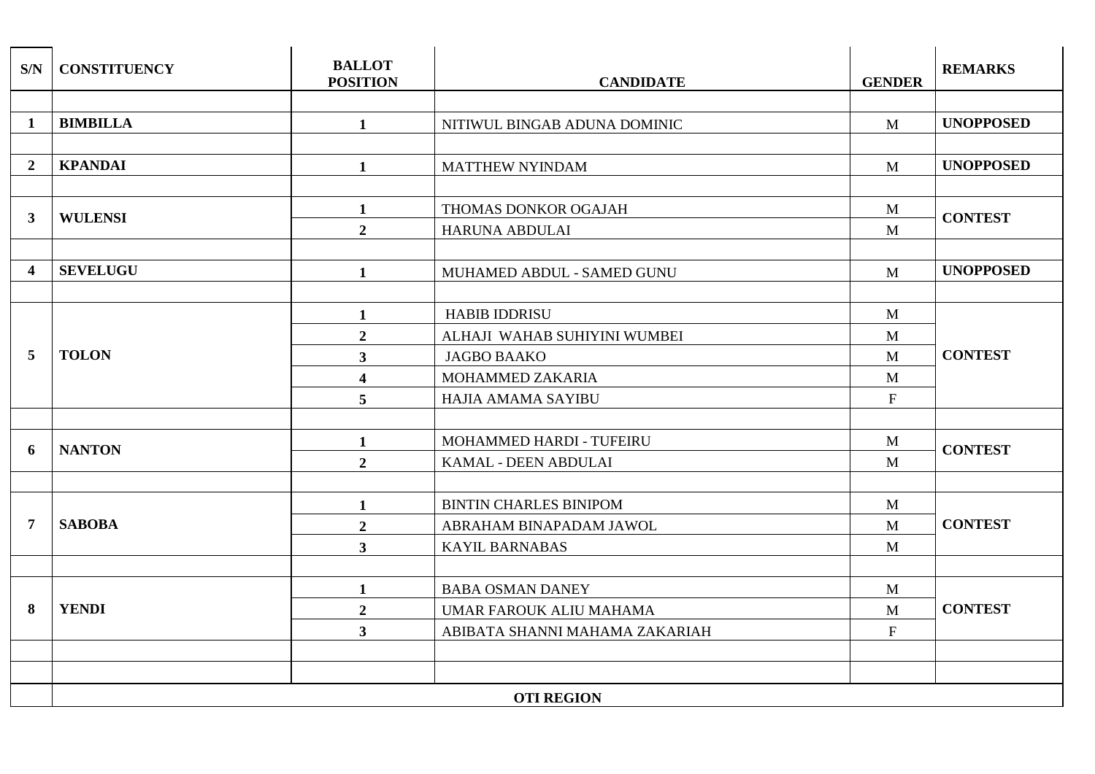| S/N              | <b>CONSTITUENCY</b> | <b>BALLOT</b><br><b>POSITION</b> | <b>CANDIDATE</b>               | <b>GENDER</b> | <b>REMARKS</b>   |
|------------------|---------------------|----------------------------------|--------------------------------|---------------|------------------|
|                  |                     |                                  |                                |               |                  |
| $\mathbf{1}$     | <b>BIMBILLA</b>     | $\mathbf{1}$                     | NITIWUL BINGAB ADUNA DOMINIC   | $\mathbf{M}$  | <b>UNOPPOSED</b> |
|                  |                     |                                  |                                |               |                  |
| $\boldsymbol{2}$ | <b>KPANDAI</b>      | $\mathbf{1}$                     | <b>MATTHEW NYINDAM</b>         | M             | <b>UNOPPOSED</b> |
|                  |                     |                                  |                                |               |                  |
| $\mathbf{3}$     | <b>WULENSI</b>      | $\mathbf{1}$                     | THOMAS DONKOR OGAJAH           | $\mathbf{M}$  | <b>CONTEST</b>   |
|                  |                     | $\overline{2}$                   | HARUNA ABDULAI                 | $\mathbf{M}$  |                  |
|                  |                     |                                  |                                |               |                  |
| 4                | <b>SEVELUGU</b>     | $\mathbf{1}$                     | MUHAMED ABDUL - SAMED GUNU     | $\mathbf{M}$  | <b>UNOPPOSED</b> |
|                  |                     |                                  |                                |               |                  |
|                  |                     | $\mathbf{1}$                     | <b>HABIB IDDRISU</b>           | M             |                  |
|                  |                     | $\overline{2}$                   | ALHAJI WAHAB SUHIYINI WUMBEI   | M             |                  |
| 5                | <b>TOLON</b>        | $\mathbf{3}$                     | <b>JAGBO BAAKO</b>             | $\mathbf{M}$  | <b>CONTEST</b>   |
|                  |                     | $\overline{\mathbf{4}}$          | MOHAMMED ZAKARIA               | M             |                  |
|                  |                     | $\overline{5}$                   | HAJIA AMAMA SAYIBU             | $\mathbf{F}$  |                  |
|                  |                     |                                  |                                |               |                  |
| 6                | <b>NANTON</b>       | $\mathbf{1}$                     | MOHAMMED HARDI - TUFEIRU       | $\mathbf{M}$  | <b>CONTEST</b>   |
|                  |                     | $\overline{2}$                   | KAMAL - DEEN ABDULAI           | $\mathbf{M}$  |                  |
|                  |                     |                                  |                                |               |                  |
|                  | <b>SABOBA</b>       | $\mathbf{1}$                     | <b>BINTIN CHARLES BINIPOM</b>  | M             |                  |
| 7                |                     | $\overline{2}$                   | ABRAHAM BINAPADAM JAWOL        | M             | <b>CONTEST</b>   |
|                  |                     | $3^{\circ}$                      | <b>KAYIL BARNABAS</b>          | $\mathbf{M}$  |                  |
|                  |                     |                                  |                                |               |                  |
|                  |                     | $\mathbf{1}$                     | <b>BABA OSMAN DANEY</b>        | M             |                  |
| 8                | <b>YENDI</b>        | $\overline{2}$                   | UMAR FAROUK ALIU MAHAMA        | M             | <b>CONTEST</b>   |
|                  |                     | $\mathbf{3}$                     | ABIBATA SHANNI MAHAMA ZAKARIAH | $\mathbf{F}$  |                  |
|                  |                     |                                  |                                |               |                  |
|                  |                     |                                  |                                |               |                  |
|                  | <b>OTI REGION</b>   |                                  |                                |               |                  |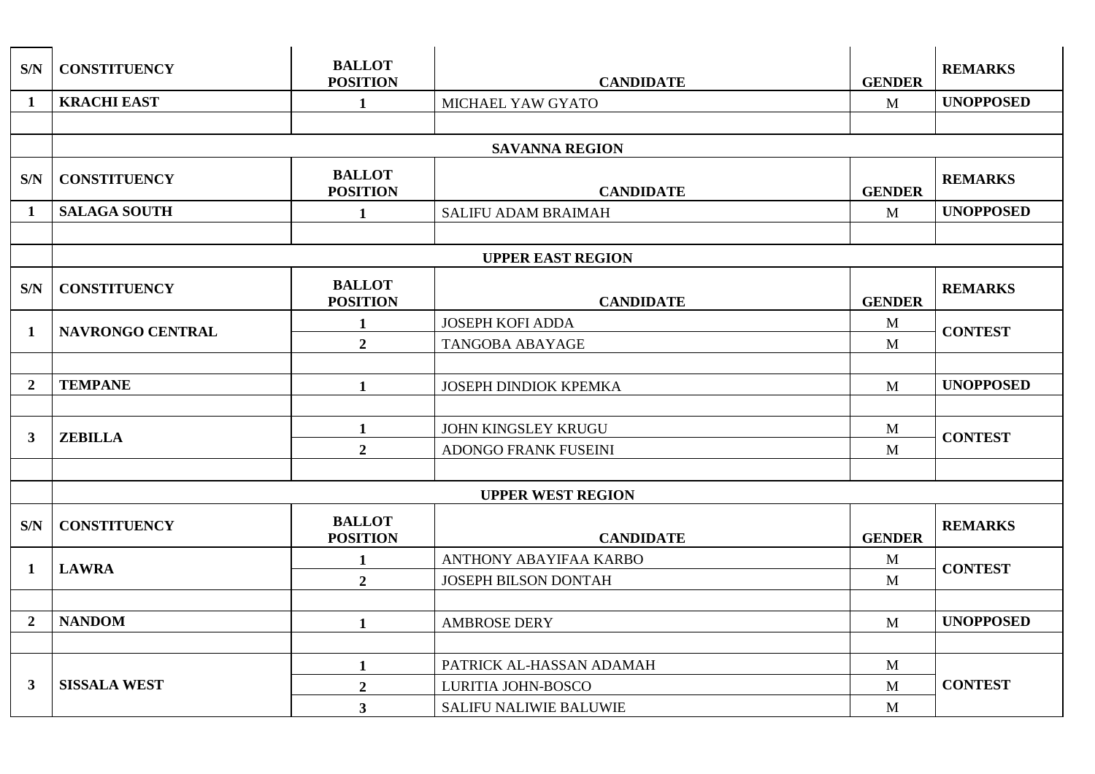| S/N            | <b>CONSTITUENCY</b>     | <b>BALLOT</b><br><b>POSITION</b> | <b>CANDIDATE</b>              | <b>GENDER</b> | <b>REMARKS</b>   |
|----------------|-------------------------|----------------------------------|-------------------------------|---------------|------------------|
| $\mathbf{1}$   | <b>KRACHI EAST</b>      | $\mathbf{1}$                     | MICHAEL YAW GYATO             | M             | <b>UNOPPOSED</b> |
|                |                         |                                  |                               |               |                  |
|                |                         |                                  | <b>SAVANNA REGION</b>         |               |                  |
| S/N            | <b>CONSTITUENCY</b>     | <b>BALLOT</b><br><b>POSITION</b> | <b>CANDIDATE</b>              | <b>GENDER</b> | <b>REMARKS</b>   |
| $\mathbf{1}$   | <b>SALAGA SOUTH</b>     | $\mathbf{1}$                     | <b>SALIFU ADAM BRAIMAH</b>    | M             | <b>UNOPPOSED</b> |
|                |                         |                                  |                               |               |                  |
|                |                         |                                  | <b>UPPER EAST REGION</b>      |               |                  |
| S/N            | <b>CONSTITUENCY</b>     | <b>BALLOT</b><br><b>POSITION</b> | <b>CANDIDATE</b>              | <b>GENDER</b> | <b>REMARKS</b>   |
| 1              | <b>NAVRONGO CENTRAL</b> | $\mathbf{1}$                     | <b>JOSEPH KOFI ADDA</b>       | $\mathbf{M}$  | <b>CONTEST</b>   |
|                |                         | $\overline{2}$                   | <b>TANGOBA ABAYAGE</b>        | M             |                  |
|                |                         |                                  |                               |               |                  |
| $\overline{2}$ | <b>TEMPANE</b>          | $\mathbf{1}$                     | <b>JOSEPH DINDIOK KPEMKA</b>  | M             | <b>UNOPPOSED</b> |
|                |                         |                                  |                               |               |                  |
| $\mathbf{3}$   | <b>ZEBILLA</b>          | $\mathbf{1}$                     | <b>JOHN KINGSLEY KRUGU</b>    | M             | <b>CONTEST</b>   |
|                |                         | $\overline{2}$                   | ADONGO FRANK FUSEINI          | M             |                  |
|                |                         |                                  |                               |               |                  |
|                |                         |                                  | <b>UPPER WEST REGION</b>      |               |                  |
| S/N            | <b>CONSTITUENCY</b>     | <b>BALLOT</b><br><b>POSITION</b> | <b>CANDIDATE</b>              | <b>GENDER</b> | <b>REMARKS</b>   |
| 1              | <b>LAWRA</b>            | $\mathbf{1}$                     | <b>ANTHONY ABAYIFAA KARBO</b> | $\mathbf{M}$  | <b>CONTEST</b>   |
|                |                         | $\overline{2}$                   | <b>JOSEPH BILSON DONTAH</b>   | M             |                  |
|                |                         |                                  |                               |               |                  |
| $\overline{2}$ | <b>NANDOM</b>           | $\mathbf{1}$                     | <b>AMBROSE DERY</b>           | M             | <b>UNOPPOSED</b> |
|                |                         |                                  |                               |               |                  |
|                |                         | $\mathbf{1}$                     | PATRICK AL-HASSAN ADAMAH      | $\mathbf{M}$  |                  |
| $\mathbf{3}$   | <b>SISSALA WEST</b>     | $\overline{2}$                   | LURITIA JOHN-BOSCO            | M             | <b>CONTEST</b>   |
|                |                         | 3 <sup>1</sup>                   | <b>SALIFU NALIWIE BALUWIE</b> | M             |                  |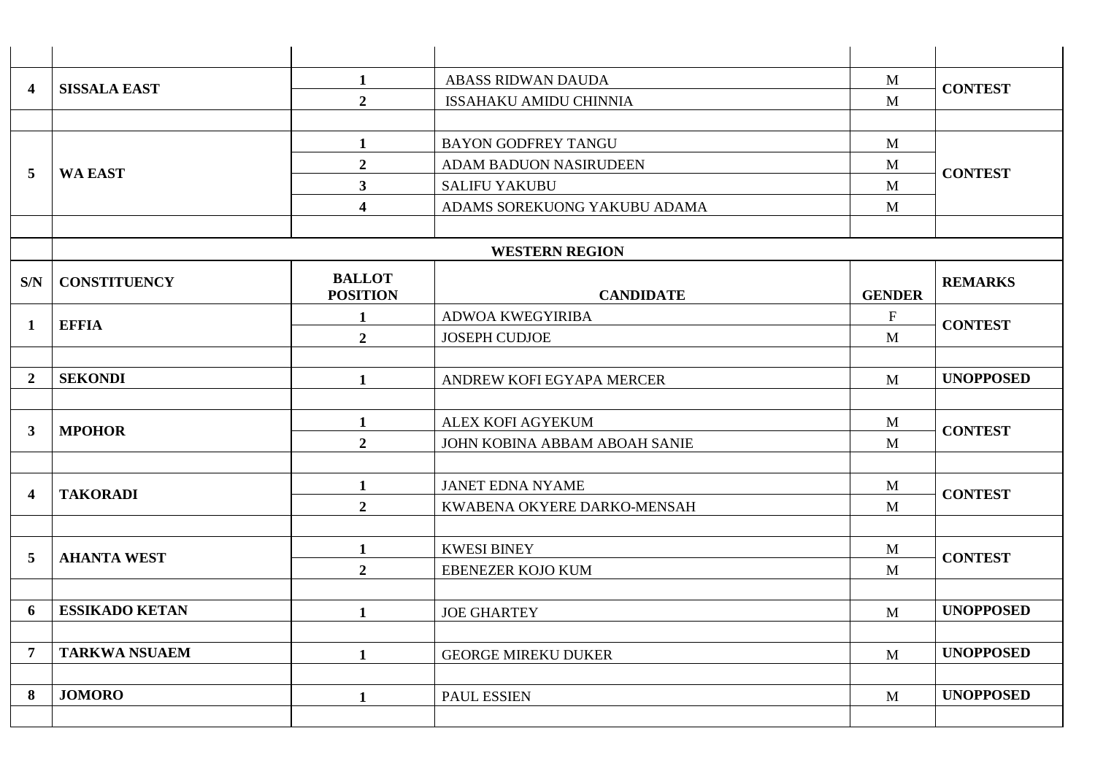| 4                | <b>SISSALA EAST</b>   | $\mathbf{1}$                     | <b>ABASS RIDWAN DAUDA</b>     | M                    | <b>CONTEST</b>   |
|------------------|-----------------------|----------------------------------|-------------------------------|----------------------|------------------|
|                  |                       | $\overline{2}$                   | <b>ISSAHAKU AMIDU CHINNIA</b> | M                    |                  |
|                  |                       |                                  |                               |                      |                  |
|                  |                       | $\mathbf{1}$                     | <b>BAYON GODFREY TANGU</b>    | $\mathbf{M}$         | <b>CONTEST</b>   |
| 5                | <b>WA EAST</b>        | $\boldsymbol{2}$                 | <b>ADAM BADUON NASIRUDEEN</b> | M                    |                  |
|                  |                       |                                  | $\mathbf{3}$                  | <b>SALIFU YAKUBU</b> | M                |
|                  |                       | $\overline{\mathbf{4}}$          | ADAMS SOREKUONG YAKUBU ADAMA  | M                    |                  |
|                  |                       |                                  |                               |                      |                  |
|                  |                       |                                  | <b>WESTERN REGION</b>         |                      |                  |
| S/N              | <b>CONSTITUENCY</b>   | <b>BALLOT</b><br><b>POSITION</b> | <b>CANDIDATE</b>              | <b>GENDER</b>        | <b>REMARKS</b>   |
| $\mathbf{1}$     | <b>EFFIA</b>          | $\mathbf{1}$                     | <b>ADWOA KWEGYIRIBA</b>       | $\mathbf F$          | <b>CONTEST</b>   |
|                  |                       | $\overline{2}$                   | <b>JOSEPH CUDJOE</b>          | M                    |                  |
|                  |                       |                                  |                               |                      |                  |
| $\boldsymbol{2}$ | <b>SEKONDI</b>        | 1                                | ANDREW KOFI EGYAPA MERCER     | M                    | <b>UNOPPOSED</b> |
|                  |                       |                                  |                               |                      |                  |
| $\mathbf{3}$     | <b>MPOHOR</b>         | 1                                | ALEX KOFI AGYEKUM             | M                    | <b>CONTEST</b>   |
|                  |                       | $\boldsymbol{2}$                 | JOHN KOBINA ABBAM ABOAH SANIE | M                    |                  |
|                  |                       |                                  |                               |                      |                  |
| 4                | <b>TAKORADI</b>       | $\mathbf{1}$                     | <b>JANET EDNA NYAME</b>       | $\mathbf{M}$         | <b>CONTEST</b>   |
|                  |                       | $\overline{2}$                   | KWABENA OKYERE DARKO-MENSAH   | M                    |                  |
|                  |                       |                                  |                               |                      |                  |
| 5                | <b>AHANTA WEST</b>    | $\mathbf{1}$                     | <b>KWESI BINEY</b>            | M                    | <b>CONTEST</b>   |
|                  |                       | $\overline{2}$                   | <b>EBENEZER KOJO KUM</b>      | M                    |                  |
|                  |                       |                                  |                               |                      |                  |
| 6                | <b>ESSIKADO KETAN</b> | 1                                | <b>JOE GHARTEY</b>            | M                    | <b>UNOPPOSED</b> |
|                  |                       |                                  |                               |                      | <b>UNOPPOSED</b> |
| $\overline{7}$   | <b>TARKWA NSUAEM</b>  | $\mathbf{1}$                     | <b>GEORGE MIREKU DUKER</b>    | $\mathbf{M}$         |                  |
| 8                | <b>JOMORO</b>         |                                  |                               |                      | <b>UNOPPOSED</b> |
|                  |                       | $\mathbf{1}$                     | <b>PAUL ESSIEN</b>            | $\mathbf{M}$         |                  |
|                  |                       |                                  |                               |                      |                  |